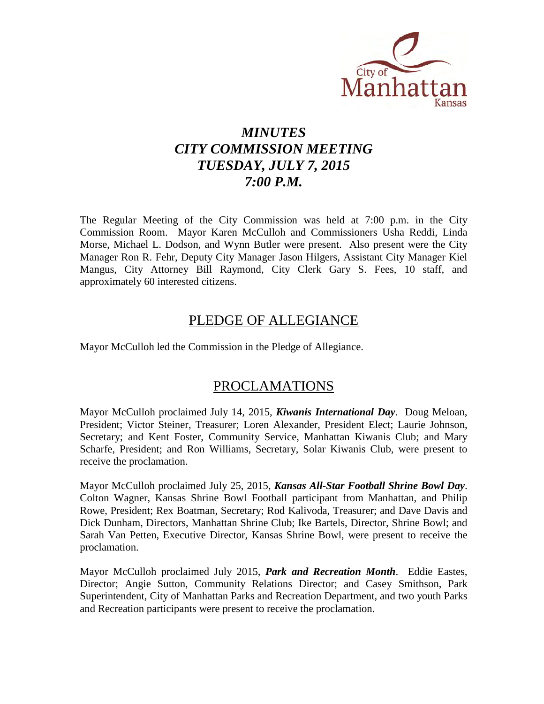

# *MINUTES CITY COMMISSION MEETING TUESDAY, JULY 7, 2015 7:00 P.M.*

The Regular Meeting of the City Commission was held at 7:00 p.m. in the City Commission Room. Mayor Karen McCulloh and Commissioners Usha Reddi, Linda Morse, Michael L. Dodson, and Wynn Butler were present. Also present were the City Manager Ron R. Fehr, Deputy City Manager Jason Hilgers, Assistant City Manager Kiel Mangus, City Attorney Bill Raymond, City Clerk Gary S. Fees, 10 staff, and approximately 60 interested citizens.

# PLEDGE OF ALLEGIANCE

Mayor McCulloh led the Commission in the Pledge of Allegiance.

# PROCLAMATIONS

Mayor McCulloh proclaimed July 14, 2015, *Kiwanis International Day*. Doug Meloan, President; Victor Steiner, Treasurer; Loren Alexander, President Elect; Laurie Johnson, Secretary; and Kent Foster, Community Service, Manhattan Kiwanis Club; and Mary Scharfe, President; and Ron Williams, Secretary, Solar Kiwanis Club, were present to receive the proclamation.

Mayor McCulloh proclaimed July 25, 2015, *Kansas All-Star Football Shrine Bowl Day*. Colton Wagner, Kansas Shrine Bowl Football participant from Manhattan, and Philip Rowe, President; Rex Boatman, Secretary; Rod Kalivoda, Treasurer; and Dave Davis and Dick Dunham, Directors, Manhattan Shrine Club; Ike Bartels, Director, Shrine Bowl; and Sarah Van Petten, Executive Director, Kansas Shrine Bowl, were present to receive the proclamation.

Mayor McCulloh proclaimed July 2015, *Park and Recreation Month*. Eddie Eastes, Director; Angie Sutton, Community Relations Director; and Casey Smithson, Park Superintendent, City of Manhattan Parks and Recreation Department, and two youth Parks and Recreation participants were present to receive the proclamation.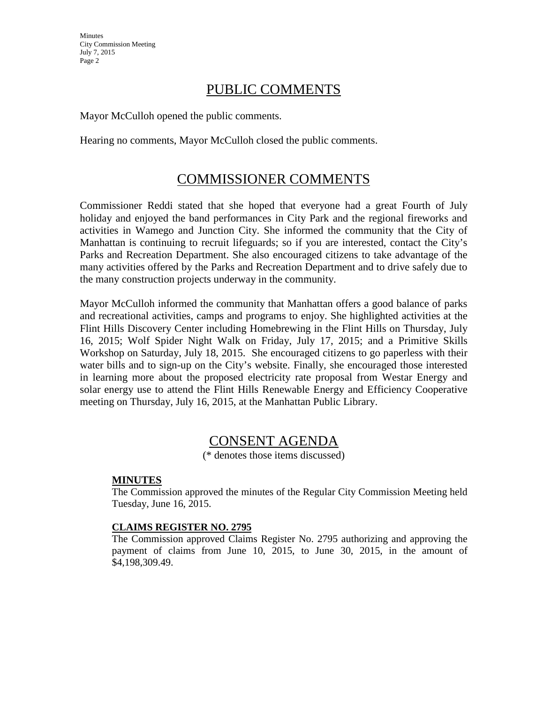# PUBLIC COMMENTS

Mayor McCulloh opened the public comments.

Hearing no comments, Mayor McCulloh closed the public comments.

# COMMISSIONER COMMENTS

Commissioner Reddi stated that she hoped that everyone had a great Fourth of July holiday and enjoyed the band performances in City Park and the regional fireworks and activities in Wamego and Junction City. She informed the community that the City of Manhattan is continuing to recruit lifeguards; so if you are interested, contact the City's Parks and Recreation Department. She also encouraged citizens to take advantage of the many activities offered by the Parks and Recreation Department and to drive safely due to the many construction projects underway in the community.

Mayor McCulloh informed the community that Manhattan offers a good balance of parks and recreational activities, camps and programs to enjoy. She highlighted activities at the Flint Hills Discovery Center including Homebrewing in the Flint Hills on Thursday, July 16, 2015; Wolf Spider Night Walk on Friday, July 17, 2015; and a Primitive Skills Workshop on Saturday, July 18, 2015. She encouraged citizens to go paperless with their water bills and to sign-up on the City's website. Finally, she encouraged those interested in learning more about the proposed electricity rate proposal from Westar Energy and solar energy use to attend the Flint Hills Renewable Energy and Efficiency Cooperative meeting on Thursday, July 16, 2015, at the Manhattan Public Library.

# CONSENT AGENDA

(\* denotes those items discussed)

## **MINUTES**

The Commission approved the minutes of the Regular City Commission Meeting held Tuesday, June 16, 2015.

#### **CLAIMS REGISTER NO. 2795**

The Commission approved Claims Register No. 2795 authorizing and approving the payment of claims from June 10, 2015, to June 30, 2015, in the amount of \$4,198,309.49.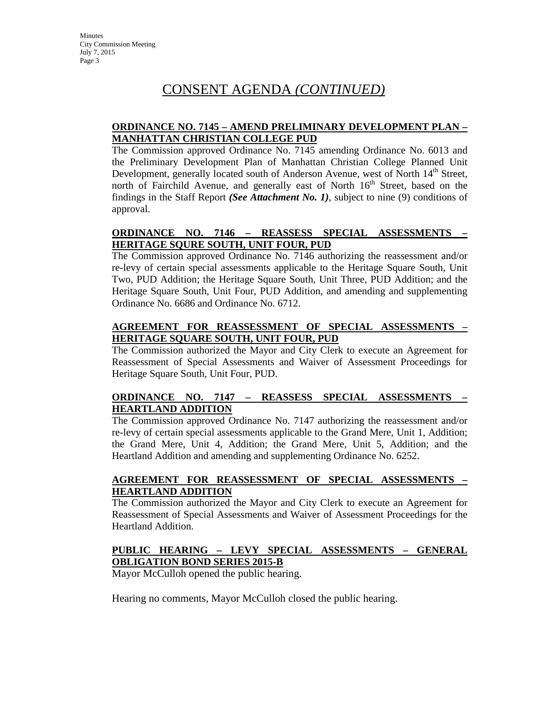### **ORDINANCE NO. 7145 – AMEND PRELIMINARY DEVELOPMENT PLAN – MANHATTAN CHRISTIAN COLLEGE PUD**

The Commission approved Ordinance No. 7145 amending Ordinance No. 6013 and the Preliminary Development Plan of Manhattan Christian College Planned Unit Development, generally located south of Anderson Avenue, west of North 14<sup>th</sup> Street, north of Fairchild Avenue, and generally east of North  $16<sup>th</sup>$  Street, based on the findings in the Staff Report *(See Attachment No. 1)*, subject to nine (9) conditions of approval.

## **ORDINANCE NO. 7146 – REASSESS SPECIAL ASSESSMENTS – HERITAGE SQURE SOUTH, UNIT FOUR, PUD**

The Commission approved Ordinance No. 7146 authorizing the reassessment and/or re-levy of certain special assessments applicable to the Heritage Square South, Unit Two, PUD Addition; the Heritage Square South, Unit Three, PUD Addition; and the Heritage Square South, Unit Four, PUD Addition, and amending and supplementing Ordinance No. 6686 and Ordinance No. 6712.

#### **AGREEMENT FOR REASSESSMENT OF SPECIAL ASSESSMENTS – HERITAGE SQUARE SOUTH, UNIT FOUR, PUD**

The Commission authorized the Mayor and City Clerk to execute an Agreement for Reassessment of Special Assessments and Waiver of Assessment Proceedings for Heritage Square South, Unit Four, PUD.

### **ORDINANCE NO. 7147 – REASSESS SPECIAL ASSESSMENTS – HEARTLAND ADDITION**

The Commission approved Ordinance No. 7147 authorizing the reassessment and/or re-levy of certain special assessments applicable to the Grand Mere, Unit 1, Addition; the Grand Mere, Unit 4, Addition; the Grand Mere, Unit 5, Addition; and the Heartland Addition and amending and supplementing Ordinance No. 6252.

#### **AGREEMENT FOR REASSESSMENT OF SPECIAL ASSESSMENTS – HEARTLAND ADDITION**

The Commission authorized the Mayor and City Clerk to execute an Agreement for Reassessment of Special Assessments and Waiver of Assessment Proceedings for the Heartland Addition.

### **PUBLIC HEARING – LEVY SPECIAL ASSESSMENTS – GENERAL OBLIGATION BOND SERIES 2015-B**

Mayor McCulloh opened the public hearing.

Hearing no comments, Mayor McCulloh closed the public hearing.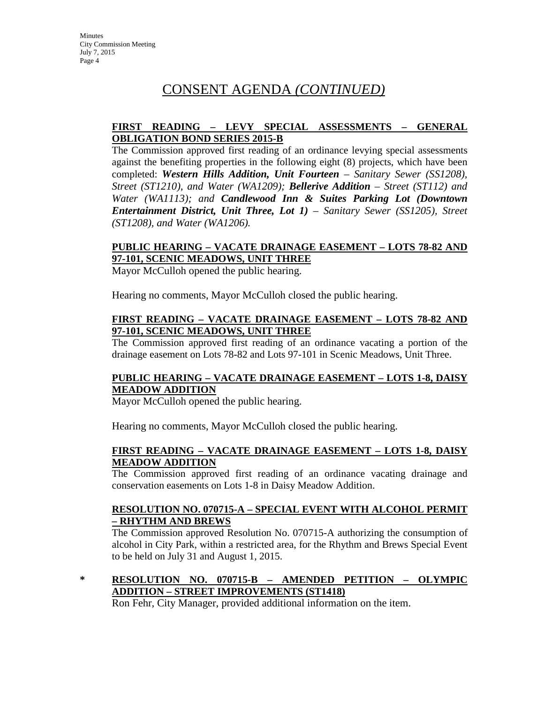### **FIRST READING – LEVY SPECIAL ASSESSMENTS – GENERAL OBLIGATION BOND SERIES 2015-B**

The Commission approved first reading of an ordinance levying special assessments against the benefiting properties in the following eight (8) projects, which have been completed: *Western Hills Addition, Unit Fourteen – Sanitary Sewer (SS1208), Street (ST1210), and Water (WA1209); Bellerive Addition – Street (ST112) and Water (WA1113); and Candlewood Inn & Suites Parking Lot (Downtown Entertainment District, Unit Three, Lot 1) – Sanitary Sewer (SS1205), Street (ST1208), and Water (WA1206).* 

### **PUBLIC HEARING – VACATE DRAINAGE EASEMENT – LOTS 78-82 AND 97-101, SCENIC MEADOWS, UNIT THREE**

Mayor McCulloh opened the public hearing.

Hearing no comments, Mayor McCulloh closed the public hearing.

#### **FIRST READING – VACATE DRAINAGE EASEMENT – LOTS 78-82 AND 97-101, SCENIC MEADOWS, UNIT THREE**

The Commission approved first reading of an ordinance vacating a portion of the drainage easement on Lots 78-82 and Lots 97-101 in Scenic Meadows, Unit Three.

### **PUBLIC HEARING – VACATE DRAINAGE EASEMENT – LOTS 1-8, DAISY MEADOW ADDITION**

Mayor McCulloh opened the public hearing.

Hearing no comments, Mayor McCulloh closed the public hearing.

#### **FIRST READING – VACATE DRAINAGE EASEMENT – LOTS 1-8, DAISY MEADOW ADDITION**

The Commission approved first reading of an ordinance vacating drainage and conservation easements on Lots 1-8 in Daisy Meadow Addition.

#### **RESOLUTION NO. 070715-A – SPECIAL EVENT WITH ALCOHOL PERMIT – RHYTHM AND BREWS**

The Commission approved Resolution No. 070715-A authorizing the consumption of alcohol in City Park, within a restricted area, for the Rhythm and Brews Special Event to be held on July 31 and August 1, 2015.

### **\* RESOLUTION NO. 070715-B – AMENDED PETITION – OLYMPIC ADDITION – STREET IMPROVEMENTS (ST1418)**

Ron Fehr, City Manager, provided additional information on the item.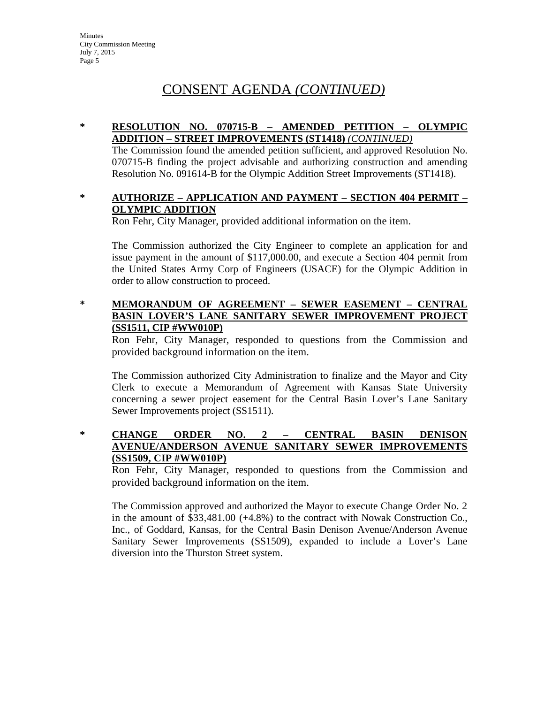#### **\* RESOLUTION NO. 070715-B – AMENDED PETITION – OLYMPIC ADDITION – STREET IMPROVEMENTS (ST1418)** *(CONTINUED)*

The Commission found the amended petition sufficient, and approved Resolution No. 070715-B finding the project advisable and authorizing construction and amending Resolution No. 091614-B for the Olympic Addition Street Improvements (ST1418).

#### **\* AUTHORIZE – APPLICATION AND PAYMENT – SECTION 404 PERMIT – OLYMPIC ADDITION**

Ron Fehr, City Manager, provided additional information on the item.

The Commission authorized the City Engineer to complete an application for and issue payment in the amount of \$117,000.00, and execute a Section 404 permit from the United States Army Corp of Engineers (USACE) for the Olympic Addition in order to allow construction to proceed.

#### **\* MEMORANDUM OF AGREEMENT – SEWER EASEMENT – CENTRAL BASIN LOVER'S LANE SANITARY SEWER IMPROVEMENT PROJECT (SS1511, CIP #WW010P)**

Ron Fehr, City Manager, responded to questions from the Commission and provided background information on the item.

The Commission authorized City Administration to finalize and the Mayor and City Clerk to execute a Memorandum of Agreement with Kansas State University concerning a sewer project easement for the Central Basin Lover's Lane Sanitary Sewer Improvements project (SS1511).

### **\* CHANGE ORDER NO. 2 – CENTRAL BASIN DENISON AVENUE/ANDERSON AVENUE SANITARY SEWER IMPROVEMENTS (SS1509, CIP #WW010P)**

Ron Fehr, City Manager, responded to questions from the Commission and provided background information on the item.

The Commission approved and authorized the Mayor to execute Change Order No. 2 in the amount of \$33,481.00 (+4.8%) to the contract with Nowak Construction Co., Inc., of Goddard, Kansas, for the Central Basin Denison Avenue/Anderson Avenue Sanitary Sewer Improvements (SS1509), expanded to include a Lover's Lane diversion into the Thurston Street system.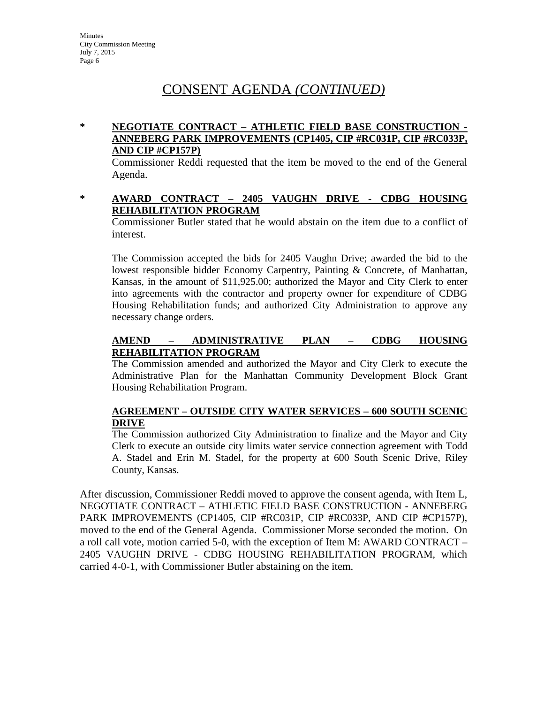#### **\* NEGOTIATE CONTRACT – ATHLETIC FIELD BASE CONSTRUCTION - ANNEBERG PARK IMPROVEMENTS (CP1405, CIP #RC031P, CIP #RC033P, AND CIP #CP157P)**

Commissioner Reddi requested that the item be moved to the end of the General Agenda.

#### **\* AWARD CONTRACT – 2405 VAUGHN DRIVE - CDBG HOUSING REHABILITATION PROGRAM**

Commissioner Butler stated that he would abstain on the item due to a conflict of interest.

The Commission accepted the bids for 2405 Vaughn Drive; awarded the bid to the lowest responsible bidder Economy Carpentry, Painting & Concrete, of Manhattan, Kansas, in the amount of \$11,925.00; authorized the Mayor and City Clerk to enter into agreements with the contractor and property owner for expenditure of CDBG Housing Rehabilitation funds; and authorized City Administration to approve any necessary change orders.

### **AMEND – ADMINISTRATIVE PLAN – CDBG HOUSING REHABILITATION PROGRAM**

The Commission amended and authorized the Mayor and City Clerk to execute the Administrative Plan for the Manhattan Community Development Block Grant Housing Rehabilitation Program.

### **AGREEMENT – OUTSIDE CITY WATER SERVICES – 600 SOUTH SCENIC DRIVE**

The Commission authorized City Administration to finalize and the Mayor and City Clerk to execute an outside city limits water service connection agreement with Todd A. Stadel and Erin M. Stadel, for the property at 600 South Scenic Drive, Riley County, Kansas.

After discussion, Commissioner Reddi moved to approve the consent agenda, with Item L, NEGOTIATE CONTRACT – ATHLETIC FIELD BASE CONSTRUCTION - ANNEBERG PARK IMPROVEMENTS (CP1405, CIP #RC031P, CIP #RC033P, AND CIP #CP157P), moved to the end of the General Agenda. Commissioner Morse seconded the motion. On a roll call vote, motion carried 5-0, with the exception of Item M: AWARD CONTRACT – 2405 VAUGHN DRIVE - CDBG HOUSING REHABILITATION PROGRAM, which carried 4-0-1, with Commissioner Butler abstaining on the item.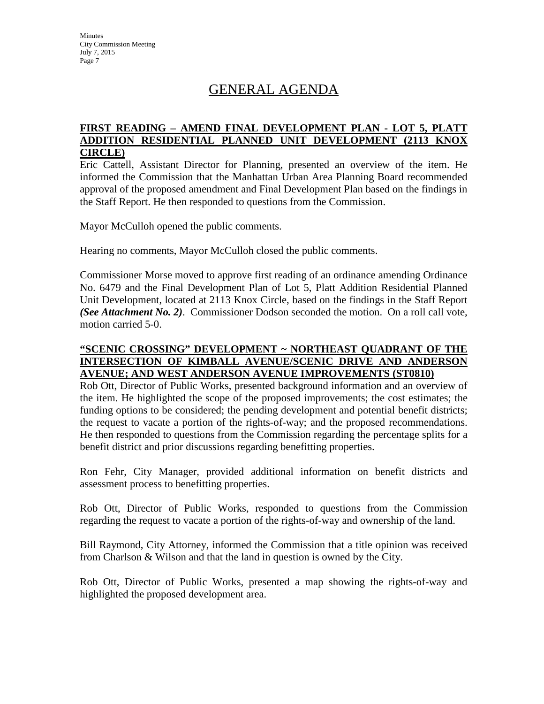# GENERAL AGENDA

#### **FIRST READING – AMEND FINAL DEVELOPMENT PLAN - LOT 5, PLATT ADDITION RESIDENTIAL PLANNED UNIT DEVELOPMENT (2113 KNOX CIRCLE)**

Eric Cattell, Assistant Director for Planning, presented an overview of the item. He informed the Commission that the Manhattan Urban Area Planning Board recommended approval of the proposed amendment and Final Development Plan based on the findings in the Staff Report. He then responded to questions from the Commission.

Mayor McCulloh opened the public comments.

Hearing no comments, Mayor McCulloh closed the public comments.

Commissioner Morse moved to approve first reading of an ordinance amending Ordinance No. 6479 and the Final Development Plan of Lot 5, Platt Addition Residential Planned Unit Development, located at 2113 Knox Circle, based on the findings in the Staff Report *(See Attachment No. 2)*. Commissioner Dodson seconded the motion. On a roll call vote, motion carried 5-0.

### **"SCENIC CROSSING" DEVELOPMENT ~ NORTHEAST QUADRANT OF THE INTERSECTION OF KIMBALL AVENUE/SCENIC DRIVE AND ANDERSON AVENUE; AND WEST ANDERSON AVENUE IMPROVEMENTS (ST0810)**

Rob Ott, Director of Public Works, presented background information and an overview of the item. He highlighted the scope of the proposed improvements; the cost estimates; the funding options to be considered; the pending development and potential benefit districts; the request to vacate a portion of the rights-of-way; and the proposed recommendations. He then responded to questions from the Commission regarding the percentage splits for a benefit district and prior discussions regarding benefitting properties.

Ron Fehr, City Manager, provided additional information on benefit districts and assessment process to benefitting properties.

Rob Ott, Director of Public Works, responded to questions from the Commission regarding the request to vacate a portion of the rights-of-way and ownership of the land.

Bill Raymond, City Attorney, informed the Commission that a title opinion was received from Charlson & Wilson and that the land in question is owned by the City.

Rob Ott, Director of Public Works, presented a map showing the rights-of-way and highlighted the proposed development area.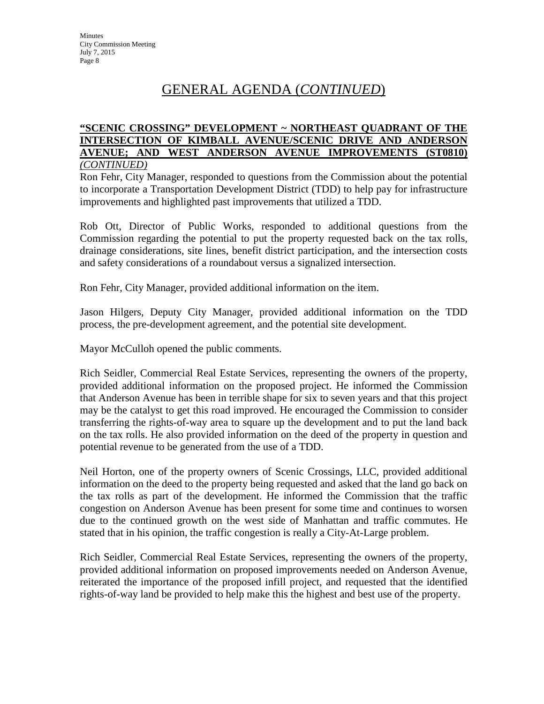#### **"SCENIC CROSSING" DEVELOPMENT ~ NORTHEAST QUADRANT OF THE INTERSECTION OF KIMBALL AVENUE/SCENIC DRIVE AND ANDERSON AVENUE; AND WEST ANDERSON AVENUE IMPROVEMENTS (ST0810)**  *(CONTINUED)*

Ron Fehr, City Manager, responded to questions from the Commission about the potential to incorporate a Transportation Development District (TDD) to help pay for infrastructure improvements and highlighted past improvements that utilized a TDD.

Rob Ott, Director of Public Works, responded to additional questions from the Commission regarding the potential to put the property requested back on the tax rolls, drainage considerations, site lines, benefit district participation, and the intersection costs and safety considerations of a roundabout versus a signalized intersection.

Ron Fehr, City Manager, provided additional information on the item.

Jason Hilgers, Deputy City Manager, provided additional information on the TDD process, the pre-development agreement, and the potential site development.

Mayor McCulloh opened the public comments.

Rich Seidler, Commercial Real Estate Services, representing the owners of the property, provided additional information on the proposed project. He informed the Commission that Anderson Avenue has been in terrible shape for six to seven years and that this project may be the catalyst to get this road improved. He encouraged the Commission to consider transferring the rights-of-way area to square up the development and to put the land back on the tax rolls. He also provided information on the deed of the property in question and potential revenue to be generated from the use of a TDD.

Neil Horton, one of the property owners of Scenic Crossings, LLC, provided additional information on the deed to the property being requested and asked that the land go back on the tax rolls as part of the development. He informed the Commission that the traffic congestion on Anderson Avenue has been present for some time and continues to worsen due to the continued growth on the west side of Manhattan and traffic commutes. He stated that in his opinion, the traffic congestion is really a City-At-Large problem.

Rich Seidler, Commercial Real Estate Services, representing the owners of the property, provided additional information on proposed improvements needed on Anderson Avenue, reiterated the importance of the proposed infill project, and requested that the identified rights-of-way land be provided to help make this the highest and best use of the property.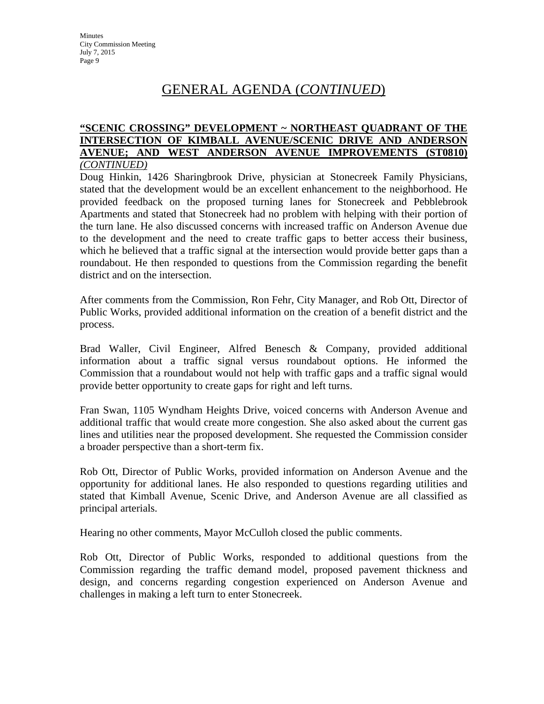#### **"SCENIC CROSSING" DEVELOPMENT ~ NORTHEAST QUADRANT OF THE INTERSECTION OF KIMBALL AVENUE/SCENIC DRIVE AND ANDERSON AVENUE; AND WEST ANDERSON AVENUE IMPROVEMENTS (ST0810)**  *(CONTINUED)*

Doug Hinkin, 1426 Sharingbrook Drive, physician at Stonecreek Family Physicians, stated that the development would be an excellent enhancement to the neighborhood. He provided feedback on the proposed turning lanes for Stonecreek and Pebblebrook Apartments and stated that Stonecreek had no problem with helping with their portion of the turn lane. He also discussed concerns with increased traffic on Anderson Avenue due to the development and the need to create traffic gaps to better access their business, which he believed that a traffic signal at the intersection would provide better gaps than a roundabout. He then responded to questions from the Commission regarding the benefit district and on the intersection.

After comments from the Commission, Ron Fehr, City Manager, and Rob Ott, Director of Public Works, provided additional information on the creation of a benefit district and the process.

Brad Waller, Civil Engineer, Alfred Benesch & Company, provided additional information about a traffic signal versus roundabout options. He informed the Commission that a roundabout would not help with traffic gaps and a traffic signal would provide better opportunity to create gaps for right and left turns.

Fran Swan, 1105 Wyndham Heights Drive, voiced concerns with Anderson Avenue and additional traffic that would create more congestion. She also asked about the current gas lines and utilities near the proposed development. She requested the Commission consider a broader perspective than a short-term fix.

Rob Ott, Director of Public Works, provided information on Anderson Avenue and the opportunity for additional lanes. He also responded to questions regarding utilities and stated that Kimball Avenue, Scenic Drive, and Anderson Avenue are all classified as principal arterials.

Hearing no other comments, Mayor McCulloh closed the public comments.

Rob Ott, Director of Public Works, responded to additional questions from the Commission regarding the traffic demand model, proposed pavement thickness and design, and concerns regarding congestion experienced on Anderson Avenue and challenges in making a left turn to enter Stonecreek.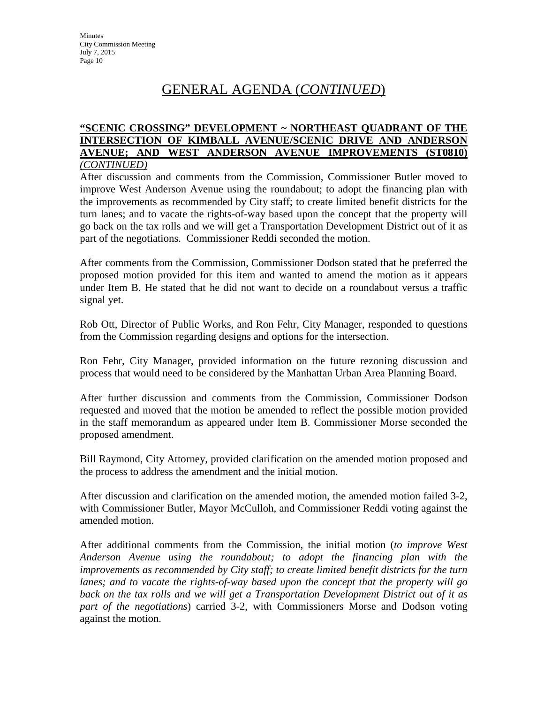#### **"SCENIC CROSSING" DEVELOPMENT ~ NORTHEAST QUADRANT OF THE INTERSECTION OF KIMBALL AVENUE/SCENIC DRIVE AND ANDERSON AVENUE; AND WEST ANDERSON AVENUE IMPROVEMENTS (ST0810)**  *(CONTINUED)*

After discussion and comments from the Commission, Commissioner Butler moved to improve West Anderson Avenue using the roundabout; to adopt the financing plan with the improvements as recommended by City staff; to create limited benefit districts for the turn lanes; and to vacate the rights-of-way based upon the concept that the property will go back on the tax rolls and we will get a Transportation Development District out of it as part of the negotiations. Commissioner Reddi seconded the motion.

After comments from the Commission, Commissioner Dodson stated that he preferred the proposed motion provided for this item and wanted to amend the motion as it appears under Item B. He stated that he did not want to decide on a roundabout versus a traffic signal yet.

Rob Ott, Director of Public Works, and Ron Fehr, City Manager, responded to questions from the Commission regarding designs and options for the intersection.

Ron Fehr, City Manager, provided information on the future rezoning discussion and process that would need to be considered by the Manhattan Urban Area Planning Board.

After further discussion and comments from the Commission, Commissioner Dodson requested and moved that the motion be amended to reflect the possible motion provided in the staff memorandum as appeared under Item B. Commissioner Morse seconded the proposed amendment.

Bill Raymond, City Attorney, provided clarification on the amended motion proposed and the process to address the amendment and the initial motion.

After discussion and clarification on the amended motion, the amended motion failed 3-2, with Commissioner Butler, Mayor McCulloh, and Commissioner Reddi voting against the amended motion.

After additional comments from the Commission, the initial motion (*to improve West Anderson Avenue using the roundabout; to adopt the financing plan with the improvements as recommended by City staff; to create limited benefit districts for the turn lanes; and to vacate the rights-of-way based upon the concept that the property will go back on the tax rolls and we will get a Transportation Development District out of it as part of the negotiations*) carried 3-2, with Commissioners Morse and Dodson voting against the motion.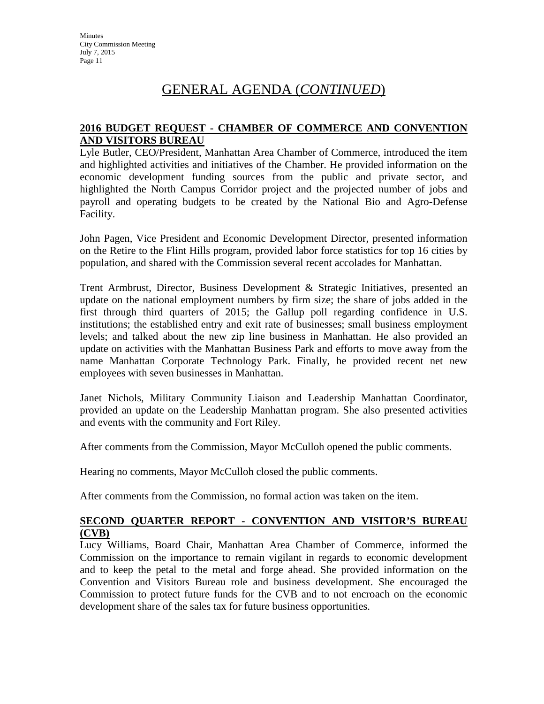#### **2016 BUDGET REQUEST - CHAMBER OF COMMERCE AND CONVENTION AND VISITORS BUREAU**

Lyle Butler, CEO/President, Manhattan Area Chamber of Commerce, introduced the item and highlighted activities and initiatives of the Chamber. He provided information on the economic development funding sources from the public and private sector, and highlighted the North Campus Corridor project and the projected number of jobs and payroll and operating budgets to be created by the National Bio and Agro-Defense Facility.

John Pagen, Vice President and Economic Development Director, presented information on the Retire to the Flint Hills program, provided labor force statistics for top 16 cities by population, and shared with the Commission several recent accolades for Manhattan.

Trent Armbrust, Director, Business Development & Strategic Initiatives, presented an update on the national employment numbers by firm size; the share of jobs added in the first through third quarters of 2015; the Gallup poll regarding confidence in U.S. institutions; the established entry and exit rate of businesses; small business employment levels; and talked about the new zip line business in Manhattan. He also provided an update on activities with the Manhattan Business Park and efforts to move away from the name Manhattan Corporate Technology Park. Finally, he provided recent net new employees with seven businesses in Manhattan.

Janet Nichols, Military Community Liaison and Leadership Manhattan Coordinator, provided an update on the Leadership Manhattan program. She also presented activities and events with the community and Fort Riley.

After comments from the Commission, Mayor McCulloh opened the public comments.

Hearing no comments, Mayor McCulloh closed the public comments.

After comments from the Commission, no formal action was taken on the item.

## **SECOND QUARTER REPORT - CONVENTION AND VISITOR'S BUREAU (CVB)**

Lucy Williams, Board Chair, Manhattan Area Chamber of Commerce, informed the Commission on the importance to remain vigilant in regards to economic development and to keep the petal to the metal and forge ahead. She provided information on the Convention and Visitors Bureau role and business development. She encouraged the Commission to protect future funds for the CVB and to not encroach on the economic development share of the sales tax for future business opportunities.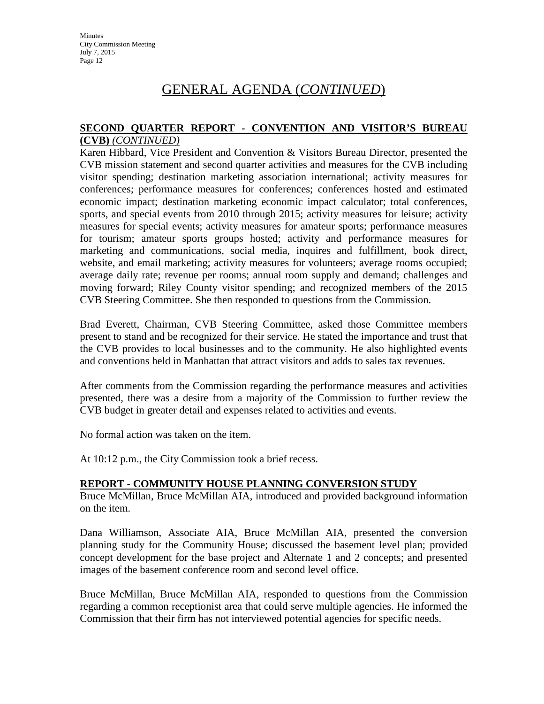#### **SECOND QUARTER REPORT - CONVENTION AND VISITOR'S BUREAU (CVB)** *(CONTINUED)*

Karen Hibbard, Vice President and Convention & Visitors Bureau Director, presented the CVB mission statement and second quarter activities and measures for the CVB including visitor spending; destination marketing association international; activity measures for conferences; performance measures for conferences; conferences hosted and estimated economic impact; destination marketing economic impact calculator; total conferences, sports, and special events from 2010 through 2015; activity measures for leisure; activity measures for special events; activity measures for amateur sports; performance measures for tourism; amateur sports groups hosted; activity and performance measures for marketing and communications, social media, inquires and fulfillment, book direct, website, and email marketing; activity measures for volunteers; average rooms occupied; average daily rate; revenue per rooms; annual room supply and demand; challenges and moving forward; Riley County visitor spending; and recognized members of the 2015 CVB Steering Committee. She then responded to questions from the Commission.

Brad Everett, Chairman, CVB Steering Committee, asked those Committee members present to stand and be recognized for their service. He stated the importance and trust that the CVB provides to local businesses and to the community. He also highlighted events and conventions held in Manhattan that attract visitors and adds to sales tax revenues.

After comments from the Commission regarding the performance measures and activities presented, there was a desire from a majority of the Commission to further review the CVB budget in greater detail and expenses related to activities and events.

No formal action was taken on the item.

At 10:12 p.m., the City Commission took a brief recess.

#### **REPORT - COMMUNITY HOUSE PLANNING CONVERSION STUDY**

Bruce McMillan, Bruce McMillan AIA, introduced and provided background information on the item.

Dana Williamson, Associate AIA, Bruce McMillan AIA, presented the conversion planning study for the Community House; discussed the basement level plan; provided concept development for the base project and Alternate 1 and 2 concepts; and presented images of the basement conference room and second level office.

Bruce McMillan, Bruce McMillan AIA, responded to questions from the Commission regarding a common receptionist area that could serve multiple agencies. He informed the Commission that their firm has not interviewed potential agencies for specific needs.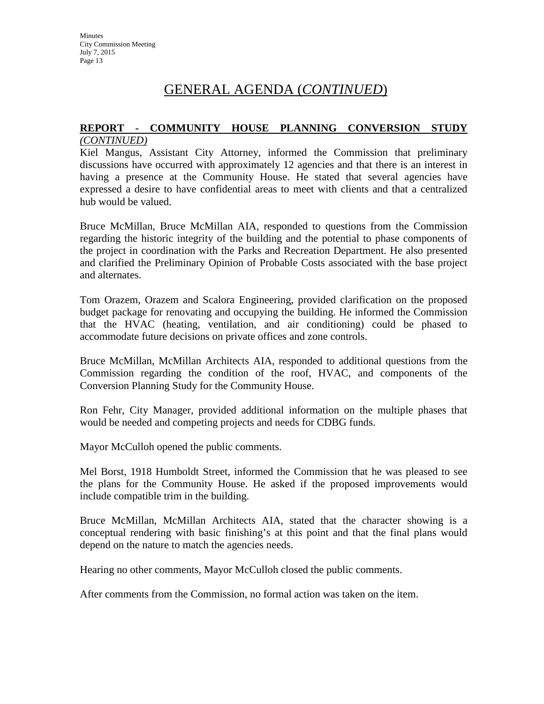#### **REPORT - COMMUNITY HOUSE PLANNING CONVERSION STUDY** *(CONTINUED)*

Kiel Mangus, Assistant City Attorney, informed the Commission that preliminary discussions have occurred with approximately 12 agencies and that there is an interest in having a presence at the Community House. He stated that several agencies have expressed a desire to have confidential areas to meet with clients and that a centralized hub would be valued.

Bruce McMillan, Bruce McMillan AIA, responded to questions from the Commission regarding the historic integrity of the building and the potential to phase components of the project in coordination with the Parks and Recreation Department. He also presented and clarified the Preliminary Opinion of Probable Costs associated with the base project and alternates.

Tom Orazem, Orazem and Scalora Engineering, provided clarification on the proposed budget package for renovating and occupying the building. He informed the Commission that the HVAC (heating, ventilation, and air conditioning) could be phased to accommodate future decisions on private offices and zone controls.

Bruce McMillan, McMillan Architects AIA, responded to additional questions from the Commission regarding the condition of the roof, HVAC, and components of the Conversion Planning Study for the Community House.

Ron Fehr, City Manager, provided additional information on the multiple phases that would be needed and competing projects and needs for CDBG funds.

Mayor McCulloh opened the public comments.

Mel Borst, 1918 Humboldt Street, informed the Commission that he was pleased to see the plans for the Community House. He asked if the proposed improvements would include compatible trim in the building.

Bruce McMillan, McMillan Architects AIA, stated that the character showing is a conceptual rendering with basic finishing's at this point and that the final plans would depend on the nature to match the agencies needs.

Hearing no other comments, Mayor McCulloh closed the public comments.

After comments from the Commission, no formal action was taken on the item.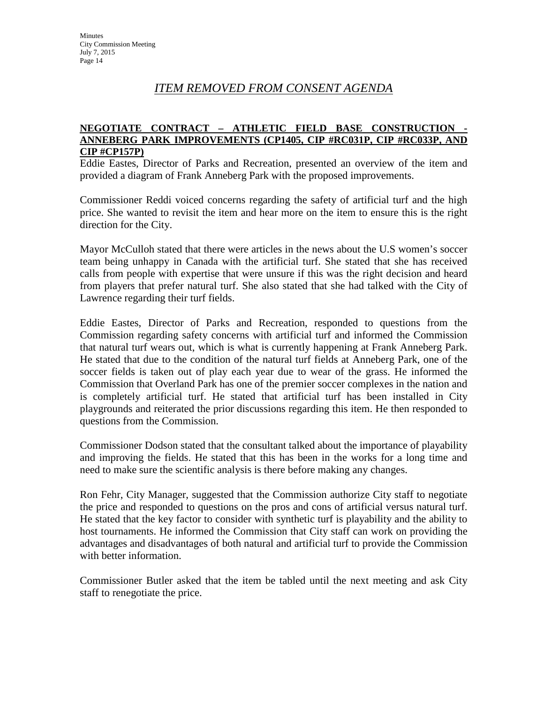## *ITEM REMOVED FROM CONSENT AGENDA*

#### **NEGOTIATE CONTRACT – ATHLETIC FIELD BASE CONSTRUCTION - ANNEBERG PARK IMPROVEMENTS (CP1405, CIP #RC031P, CIP #RC033P, AND CIP #CP157P)**

Eddie Eastes, Director of Parks and Recreation, presented an overview of the item and provided a diagram of Frank Anneberg Park with the proposed improvements.

Commissioner Reddi voiced concerns regarding the safety of artificial turf and the high price. She wanted to revisit the item and hear more on the item to ensure this is the right direction for the City.

Mayor McCulloh stated that there were articles in the news about the U.S women's soccer team being unhappy in Canada with the artificial turf. She stated that she has received calls from people with expertise that were unsure if this was the right decision and heard from players that prefer natural turf. She also stated that she had talked with the City of Lawrence regarding their turf fields.

Eddie Eastes, Director of Parks and Recreation, responded to questions from the Commission regarding safety concerns with artificial turf and informed the Commission that natural turf wears out, which is what is currently happening at Frank Anneberg Park. He stated that due to the condition of the natural turf fields at Anneberg Park, one of the soccer fields is taken out of play each year due to wear of the grass. He informed the Commission that Overland Park has one of the premier soccer complexes in the nation and is completely artificial turf. He stated that artificial turf has been installed in City playgrounds and reiterated the prior discussions regarding this item. He then responded to questions from the Commission.

Commissioner Dodson stated that the consultant talked about the importance of playability and improving the fields. He stated that this has been in the works for a long time and need to make sure the scientific analysis is there before making any changes.

Ron Fehr, City Manager, suggested that the Commission authorize City staff to negotiate the price and responded to questions on the pros and cons of artificial versus natural turf. He stated that the key factor to consider with synthetic turf is playability and the ability to host tournaments. He informed the Commission that City staff can work on providing the advantages and disadvantages of both natural and artificial turf to provide the Commission with better information.

Commissioner Butler asked that the item be tabled until the next meeting and ask City staff to renegotiate the price.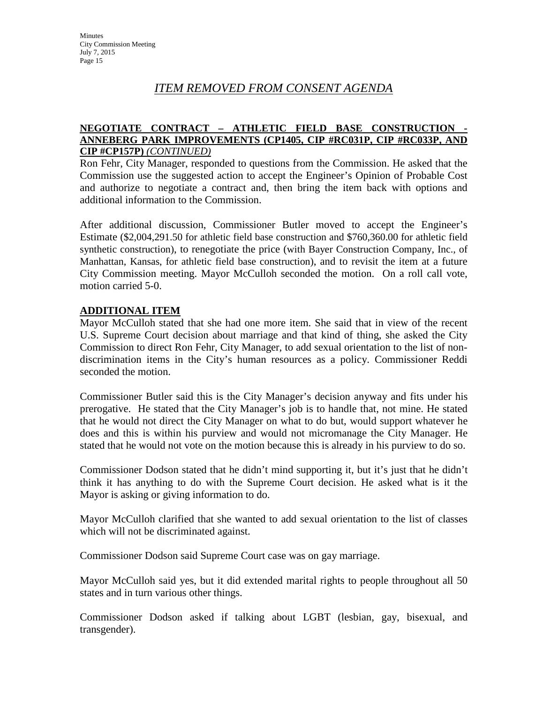## *ITEM REMOVED FROM CONSENT AGENDA*

#### **NEGOTIATE CONTRACT – ATHLETIC FIELD BASE CONSTRUCTION - ANNEBERG PARK IMPROVEMENTS (CP1405, CIP #RC031P, CIP #RC033P, AND CIP #CP157P)** *(CONTINUED)*

Ron Fehr, City Manager, responded to questions from the Commission. He asked that the Commission use the suggested action to accept the Engineer's Opinion of Probable Cost and authorize to negotiate a contract and, then bring the item back with options and additional information to the Commission.

After additional discussion, Commissioner Butler moved to accept the Engineer's Estimate (\$2,004,291.50 for athletic field base construction and \$760,360.00 for athletic field synthetic construction), to renegotiate the price (with Bayer Construction Company, Inc., of Manhattan, Kansas, for athletic field base construction), and to revisit the item at a future City Commission meeting. Mayor McCulloh seconded the motion. On a roll call vote, motion carried 5-0.

### **ADDITIONAL ITEM**

Mayor McCulloh stated that she had one more item. She said that in view of the recent U.S. Supreme Court decision about marriage and that kind of thing, she asked the City Commission to direct Ron Fehr, City Manager, to add sexual orientation to the list of nondiscrimination items in the City's human resources as a policy. Commissioner Reddi seconded the motion.

Commissioner Butler said this is the City Manager's decision anyway and fits under his prerogative. He stated that the City Manager's job is to handle that, not mine. He stated that he would not direct the City Manager on what to do but, would support whatever he does and this is within his purview and would not micromanage the City Manager. He stated that he would not vote on the motion because this is already in his purview to do so.

Commissioner Dodson stated that he didn't mind supporting it, but it's just that he didn't think it has anything to do with the Supreme Court decision. He asked what is it the Mayor is asking or giving information to do.

Mayor McCulloh clarified that she wanted to add sexual orientation to the list of classes which will not be discriminated against.

Commissioner Dodson said Supreme Court case was on gay marriage.

Mayor McCulloh said yes, but it did extended marital rights to people throughout all 50 states and in turn various other things.

Commissioner Dodson asked if talking about LGBT (lesbian, gay, bisexual, and transgender).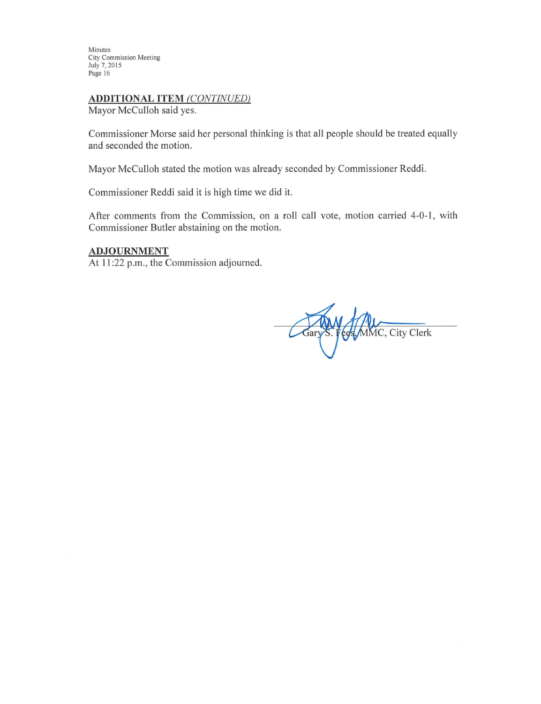### **ADDITIONAL ITEM (CONTINUED)**

Mayor McCulloh said yes.

Commissioner Morse said her personal thinking is that all people should be treated equally and seconded the motion.

Mayor McCulloh stated the motion was already seconded by Commissioner Reddi.

Commissioner Reddi said it is high time we did it.

After comments from the Commission, on a roll call vote, motion carried 4-0-1, with Commissioner Butler abstaining on the motion.

#### **ADJOURNMENT**

At 11:22 p.m., the Commission adjourned.

Egg MMC, City Clerk CGary's.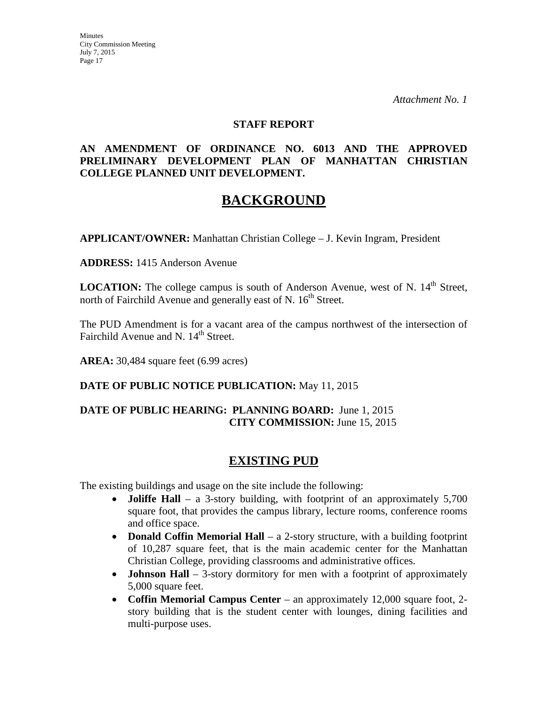*Attachment No. 1* 

### **STAFF REPORT**

### **AN AMENDMENT OF ORDINANCE NO. 6013 AND THE APPROVED PRELIMINARY DEVELOPMENT PLAN OF MANHATTAN CHRISTIAN COLLEGE PLANNED UNIT DEVELOPMENT.**

# **BACKGROUND**

**APPLICANT/OWNER:** Manhattan Christian College – J. Kevin Ingram, President

**ADDRESS:** 1415 Anderson Avenue

**LOCATION:** The college campus is south of Anderson Avenue, west of N. 14<sup>th</sup> Street, north of Fairchild Avenue and generally east of N.  $16<sup>th</sup>$  Street.

The PUD Amendment is for a vacant area of the campus northwest of the intersection of Fairchild Avenue and N. 14<sup>th</sup> Street.

**AREA:** 30,484 square feet (6.99 acres)

## **DATE OF PUBLIC NOTICE PUBLICATION:** May 11, 2015

## **DATE OF PUBLIC HEARING: PLANNING BOARD:** June 1, 2015 **CITY COMMISSION:** June 15, 2015

# **EXISTING PUD**

The existing buildings and usage on the site include the following:

- **Joliffe Hall** a 3-story building, with footprint of an approximately 5,700 square foot, that provides the campus library, lecture rooms, conference rooms and office space.
- **Donald Coffin Memorial Hall** a 2-story structure, with a building footprint of 10,287 square feet, that is the main academic center for the Manhattan Christian College, providing classrooms and administrative offices.
- **Johnson Hall** 3-story dormitory for men with a footprint of approximately 5,000 square feet.
- **Coffin Memorial Campus Center** an approximately 12,000 square foot, 2 story building that is the student center with lounges, dining facilities and multi-purpose uses.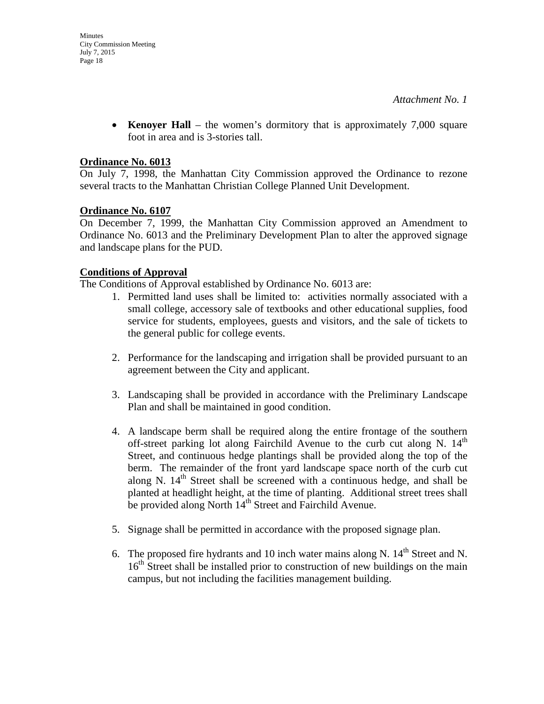• **Kenoyer Hall** – the women's dormitory that is approximately 7,000 square foot in area and is 3-stories tall.

### **Ordinance No. 6013**

On July 7, 1998, the Manhattan City Commission approved the Ordinance to rezone several tracts to the Manhattan Christian College Planned Unit Development.

### **Ordinance No. 6107**

On December 7, 1999, the Manhattan City Commission approved an Amendment to Ordinance No. 6013 and the Preliminary Development Plan to alter the approved signage and landscape plans for the PUD.

### **Conditions of Approval**

The Conditions of Approval established by Ordinance No. 6013 are:

- 1. Permitted land uses shall be limited to: activities normally associated with a small college, accessory sale of textbooks and other educational supplies, food service for students, employees, guests and visitors, and the sale of tickets to the general public for college events.
- 2. Performance for the landscaping and irrigation shall be provided pursuant to an agreement between the City and applicant.
- 3. Landscaping shall be provided in accordance with the Preliminary Landscape Plan and shall be maintained in good condition.
- 4. A landscape berm shall be required along the entire frontage of the southern off-street parking lot along Fairchild Avenue to the curb cut along N.  $14<sup>th</sup>$ Street, and continuous hedge plantings shall be provided along the top of the berm. The remainder of the front yard landscape space north of the curb cut along N.  $14<sup>th</sup>$  Street shall be screened with a continuous hedge, and shall be planted at headlight height, at the time of planting. Additional street trees shall be provided along North 14<sup>th</sup> Street and Fairchild Avenue.
- 5. Signage shall be permitted in accordance with the proposed signage plan.
- 6. The proposed fire hydrants and 10 inch water mains along N.  $14<sup>th</sup>$  Street and N. 16<sup>th</sup> Street shall be installed prior to construction of new buildings on the main campus, but not including the facilities management building.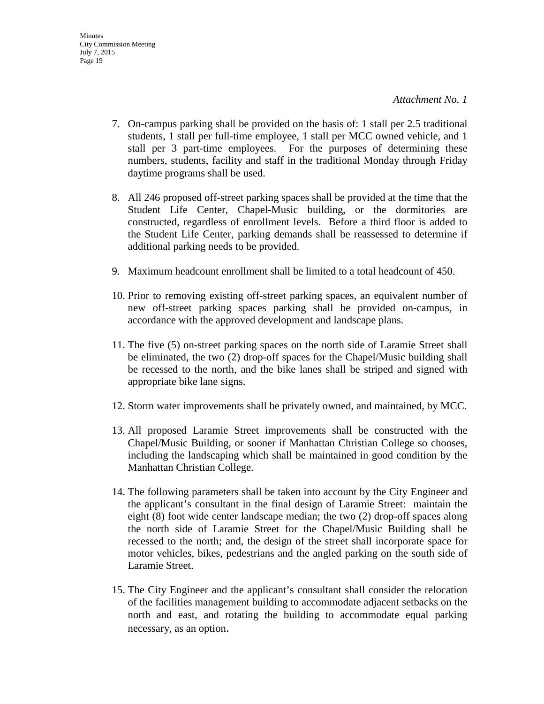- 7. On-campus parking shall be provided on the basis of: 1 stall per 2.5 traditional students, 1 stall per full-time employee, 1 stall per MCC owned vehicle, and 1 stall per 3 part-time employees. For the purposes of determining these numbers, students, facility and staff in the traditional Monday through Friday daytime programs shall be used.
- 8. All 246 proposed off-street parking spaces shall be provided at the time that the Student Life Center, Chapel-Music building, or the dormitories are constructed, regardless of enrollment levels. Before a third floor is added to the Student Life Center, parking demands shall be reassessed to determine if additional parking needs to be provided.
- 9. Maximum headcount enrollment shall be limited to a total headcount of 450.
- 10. Prior to removing existing off-street parking spaces, an equivalent number of new off-street parking spaces parking shall be provided on-campus, in accordance with the approved development and landscape plans.
- 11. The five (5) on-street parking spaces on the north side of Laramie Street shall be eliminated, the two (2) drop-off spaces for the Chapel/Music building shall be recessed to the north, and the bike lanes shall be striped and signed with appropriate bike lane signs.
- 12. Storm water improvements shall be privately owned, and maintained, by MCC.
- 13. All proposed Laramie Street improvements shall be constructed with the Chapel/Music Building, or sooner if Manhattan Christian College so chooses, including the landscaping which shall be maintained in good condition by the Manhattan Christian College.
- 14. The following parameters shall be taken into account by the City Engineer and the applicant's consultant in the final design of Laramie Street: maintain the eight (8) foot wide center landscape median; the two (2) drop-off spaces along the north side of Laramie Street for the Chapel/Music Building shall be recessed to the north; and, the design of the street shall incorporate space for motor vehicles, bikes, pedestrians and the angled parking on the south side of Laramie Street.
- 15. The City Engineer and the applicant's consultant shall consider the relocation of the facilities management building to accommodate adjacent setbacks on the north and east, and rotating the building to accommodate equal parking necessary, as an option.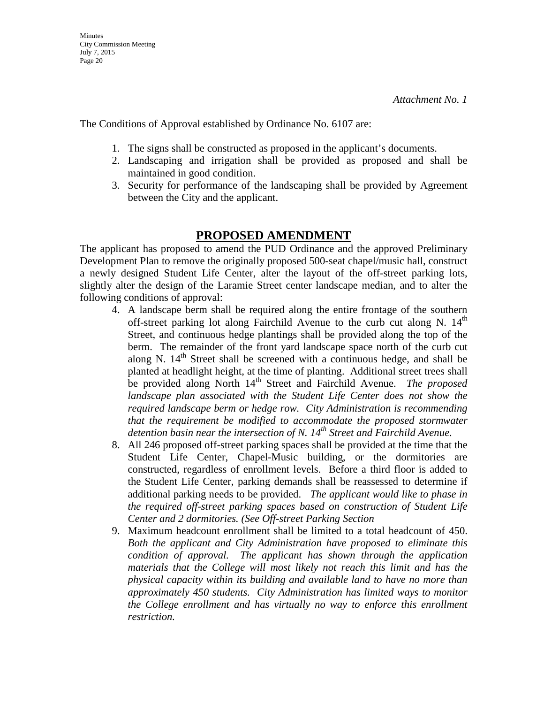The Conditions of Approval established by Ordinance No. 6107 are:

- 1. The signs shall be constructed as proposed in the applicant's documents.
- 2. Landscaping and irrigation shall be provided as proposed and shall be maintained in good condition.
- 3. Security for performance of the landscaping shall be provided by Agreement between the City and the applicant.

# **PROPOSED AMENDMENT**

The applicant has proposed to amend the PUD Ordinance and the approved Preliminary Development Plan to remove the originally proposed 500-seat chapel/music hall, construct a newly designed Student Life Center, alter the layout of the off-street parking lots, slightly alter the design of the Laramie Street center landscape median, and to alter the following conditions of approval:

- 4. A landscape berm shall be required along the entire frontage of the southern off-street parking lot along Fairchild Avenue to the curb cut along N.  $14<sup>th</sup>$ Street, and continuous hedge plantings shall be provided along the top of the berm. The remainder of the front yard landscape space north of the curb cut along N.  $14<sup>th</sup>$  Street shall be screened with a continuous hedge, and shall be planted at headlight height, at the time of planting. Additional street trees shall be provided along North 14<sup>th</sup> Street and Fairchild Avenue. *The proposed* landscape plan associated with the Student Life Center does not show the *required landscape berm or hedge row. City Administration is recommending that the requirement be modified to accommodate the proposed stormwater*  detention basin near the intersection of N. 14<sup>th</sup> Street and Fairchild Avenue.
- 8. All 246 proposed off-street parking spaces shall be provided at the time that the Student Life Center, Chapel-Music building, or the dormitories are constructed, regardless of enrollment levels. Before a third floor is added to the Student Life Center, parking demands shall be reassessed to determine if additional parking needs to be provided. *The applicant would like to phase in the required off-street parking spaces based on construction of Student Life Center and 2 dormitories. (See Off-street Parking Section*
- 9. Maximum headcount enrollment shall be limited to a total headcount of 450. *Both the applicant and City Administration have proposed to eliminate this condition of approval. The applicant has shown through the application materials that the College will most likely not reach this limit and has the physical capacity within its building and available land to have no more than approximately 450 students. City Administration has limited ways to monitor the College enrollment and has virtually no way to enforce this enrollment restriction.*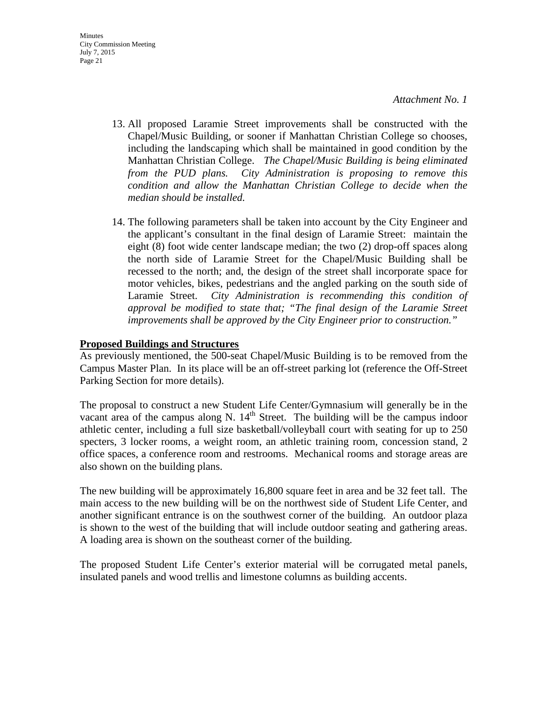- 13. All proposed Laramie Street improvements shall be constructed with the Chapel/Music Building, or sooner if Manhattan Christian College so chooses, including the landscaping which shall be maintained in good condition by the Manhattan Christian College. *The Chapel/Music Building is being eliminated from the PUD plans. City Administration is proposing to remove this condition and allow the Manhattan Christian College to decide when the median should be installed.*
- 14. The following parameters shall be taken into account by the City Engineer and the applicant's consultant in the final design of Laramie Street: maintain the eight (8) foot wide center landscape median; the two (2) drop-off spaces along the north side of Laramie Street for the Chapel/Music Building shall be recessed to the north; and, the design of the street shall incorporate space for motor vehicles, bikes, pedestrians and the angled parking on the south side of Laramie Street. *City Administration is recommending this condition of approval be modified to state that; "The final design of the Laramie Street improvements shall be approved by the City Engineer prior to construction."*

#### **Proposed Buildings and Structures**

As previously mentioned, the 500-seat Chapel/Music Building is to be removed from the Campus Master Plan. In its place will be an off-street parking lot (reference the Off-Street Parking Section for more details).

The proposal to construct a new Student Life Center/Gymnasium will generally be in the vacant area of the campus along N.  $14<sup>th</sup>$  Street. The building will be the campus indoor athletic center, including a full size basketball/volleyball court with seating for up to 250 specters, 3 locker rooms, a weight room, an athletic training room, concession stand, 2 office spaces, a conference room and restrooms. Mechanical rooms and storage areas are also shown on the building plans.

The new building will be approximately 16,800 square feet in area and be 32 feet tall. The main access to the new building will be on the northwest side of Student Life Center, and another significant entrance is on the southwest corner of the building. An outdoor plaza is shown to the west of the building that will include outdoor seating and gathering areas. A loading area is shown on the southeast corner of the building.

The proposed Student Life Center's exterior material will be corrugated metal panels, insulated panels and wood trellis and limestone columns as building accents.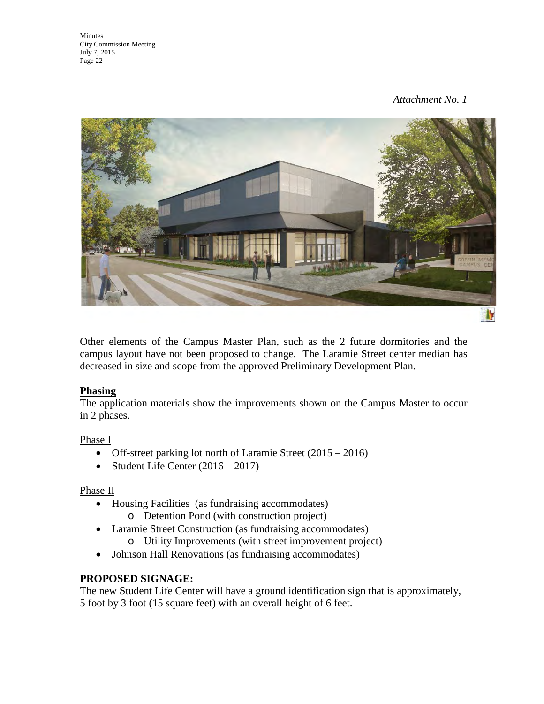

Other elements of the Campus Master Plan, such as the 2 future dormitories and the campus layout have not been proposed to change. The Laramie Street center median has decreased in size and scope from the approved Preliminary Development Plan.

## **Phasing**

The application materials show the improvements shown on the Campus Master to occur in 2 phases.

## Phase I

- Off-street parking lot north of Laramie Street (2015 2016)
- Student Life Center  $(2016 2017)$

## Phase II

- Housing Facilities (as fundraising accommodates)
	- o Detention Pond (with construction project)
- Laramie Street Construction (as fundraising accommodates)
	- o Utility Improvements (with street improvement project)
- Johnson Hall Renovations (as fundraising accommodates)

## **PROPOSED SIGNAGE:**

The new Student Life Center will have a ground identification sign that is approximately, 5 foot by 3 foot (15 square feet) with an overall height of 6 feet.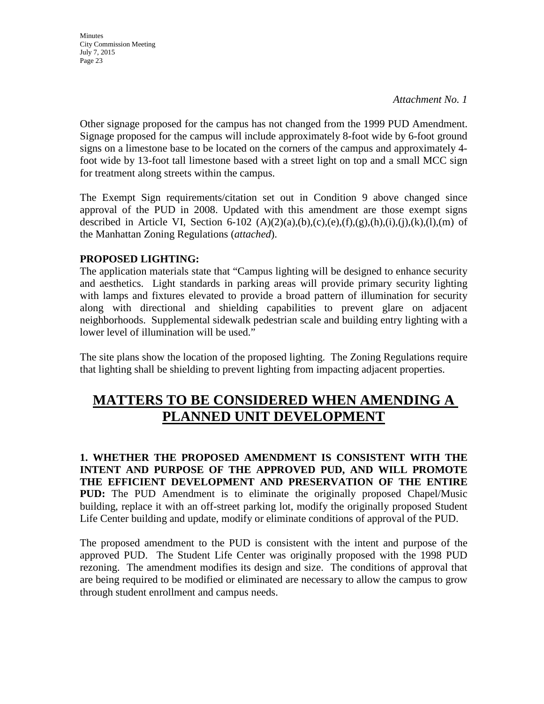**Minutes** City Commission Meeting July 7, 2015 Page 23

Other signage proposed for the campus has not changed from the 1999 PUD Amendment. Signage proposed for the campus will include approximately 8-foot wide by 6-foot ground signs on a limestone base to be located on the corners of the campus and approximately 4 foot wide by 13-foot tall limestone based with a street light on top and a small MCC sign for treatment along streets within the campus.

The Exempt Sign requirements/citation set out in Condition 9 above changed since approval of the PUD in 2008. Updated with this amendment are those exempt signs described in Article VI, Section 6-102  $(A)(2)(a),(b),(c),(e),(f),(g),(h),(i),(i),(k),(l),(m)$  of the Manhattan Zoning Regulations (*attached*).

## **PROPOSED LIGHTING:**

The application materials state that "Campus lighting will be designed to enhance security and aesthetics. Light standards in parking areas will provide primary security lighting with lamps and fixtures elevated to provide a broad pattern of illumination for security along with directional and shielding capabilities to prevent glare on adjacent neighborhoods. Supplemental sidewalk pedestrian scale and building entry lighting with a lower level of illumination will be used."

The site plans show the location of the proposed lighting. The Zoning Regulations require that lighting shall be shielding to prevent lighting from impacting adjacent properties.

# **MATTERS TO BE CONSIDERED WHEN AMENDING A PLANNED UNIT DEVELOPMENT**

**1. WHETHER THE PROPOSED AMENDMENT IS CONSISTENT WITH THE INTENT AND PURPOSE OF THE APPROVED PUD, AND WILL PROMOTE THE EFFICIENT DEVELOPMENT AND PRESERVATION OF THE ENTIRE PUD:** The PUD Amendment is to eliminate the originally proposed Chapel/Music building, replace it with an off-street parking lot, modify the originally proposed Student Life Center building and update, modify or eliminate conditions of approval of the PUD.

The proposed amendment to the PUD is consistent with the intent and purpose of the approved PUD. The Student Life Center was originally proposed with the 1998 PUD rezoning. The amendment modifies its design and size. The conditions of approval that are being required to be modified or eliminated are necessary to allow the campus to grow through student enrollment and campus needs.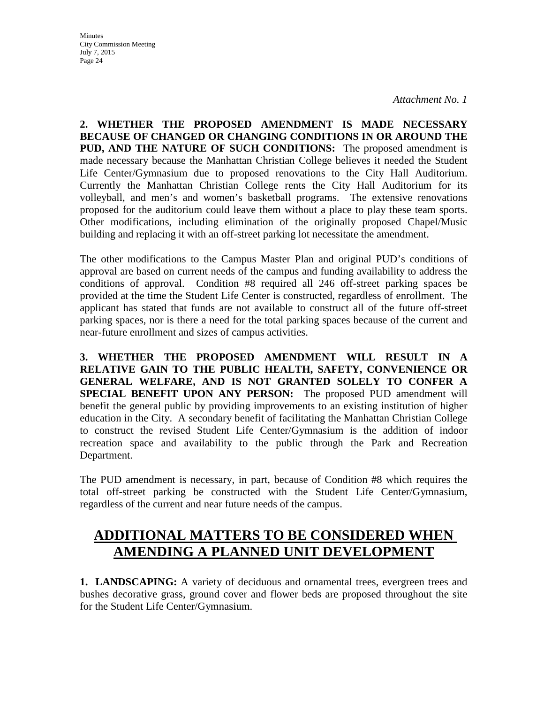*Attachment No. 1* 

**2. WHETHER THE PROPOSED AMENDMENT IS MADE NECESSARY BECAUSE OF CHANGED OR CHANGING CONDITIONS IN OR AROUND THE PUD, AND THE NATURE OF SUCH CONDITIONS:** The proposed amendment is made necessary because the Manhattan Christian College believes it needed the Student Life Center/Gymnasium due to proposed renovations to the City Hall Auditorium. Currently the Manhattan Christian College rents the City Hall Auditorium for its volleyball, and men's and women's basketball programs. The extensive renovations proposed for the auditorium could leave them without a place to play these team sports. Other modifications, including elimination of the originally proposed Chapel/Music building and replacing it with an off-street parking lot necessitate the amendment.

The other modifications to the Campus Master Plan and original PUD's conditions of approval are based on current needs of the campus and funding availability to address the conditions of approval. Condition #8 required all 246 off-street parking spaces be provided at the time the Student Life Center is constructed, regardless of enrollment. The applicant has stated that funds are not available to construct all of the future off-street parking spaces, nor is there a need for the total parking spaces because of the current and near-future enrollment and sizes of campus activities.

**3. WHETHER THE PROPOSED AMENDMENT WILL RESULT IN A RELATIVE GAIN TO THE PUBLIC HEALTH, SAFETY, CONVENIENCE OR GENERAL WELFARE, AND IS NOT GRANTED SOLELY TO CONFER A SPECIAL BENEFIT UPON ANY PERSON:** The proposed PUD amendment will benefit the general public by providing improvements to an existing institution of higher education in the City. A secondary benefit of facilitating the Manhattan Christian College to construct the revised Student Life Center/Gymnasium is the addition of indoor recreation space and availability to the public through the Park and Recreation Department.

The PUD amendment is necessary, in part, because of Condition #8 which requires the total off-street parking be constructed with the Student Life Center/Gymnasium, regardless of the current and near future needs of the campus.

# **ADDITIONAL MATTERS TO BE CONSIDERED WHEN AMENDING A PLANNED UNIT DEVELOPMENT**

**1. LANDSCAPING:** A variety of deciduous and ornamental trees, evergreen trees and bushes decorative grass, ground cover and flower beds are proposed throughout the site for the Student Life Center/Gymnasium.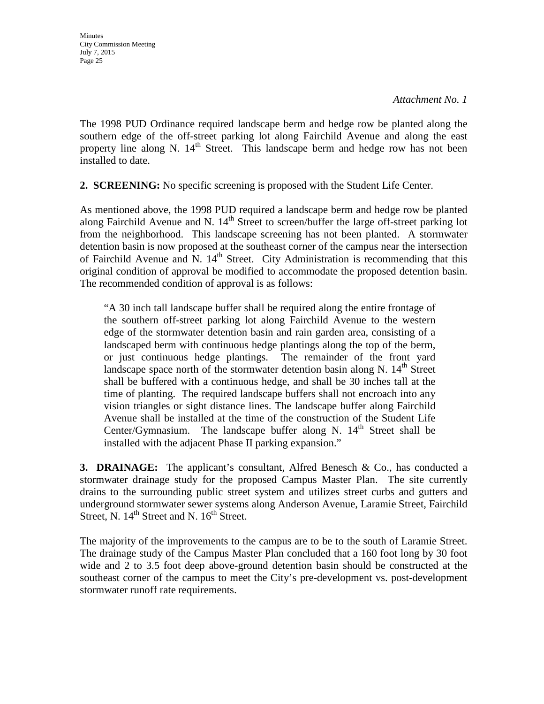*Attachment No. 1* 

The 1998 PUD Ordinance required landscape berm and hedge row be planted along the southern edge of the off-street parking lot along Fairchild Avenue and along the east property line along N.  $14<sup>th</sup>$  Street. This landscape berm and hedge row has not been installed to date.

**2. SCREENING:** No specific screening is proposed with the Student Life Center.

As mentioned above, the 1998 PUD required a landscape berm and hedge row be planted along Fairchild Avenue and N.  $14<sup>th</sup>$  Street to screen/buffer the large off-street parking lot from the neighborhood. This landscape screening has not been planted. A stormwater detention basin is now proposed at the southeast corner of the campus near the intersection of Fairchild Avenue and N.  $14<sup>th</sup>$  Street. City Administration is recommending that this original condition of approval be modified to accommodate the proposed detention basin. The recommended condition of approval is as follows:

"A 30 inch tall landscape buffer shall be required along the entire frontage of the southern off-street parking lot along Fairchild Avenue to the western edge of the stormwater detention basin and rain garden area, consisting of a landscaped berm with continuous hedge plantings along the top of the berm, or just continuous hedge plantings. The remainder of the front yard landscape space north of the stormwater detention basin along N.  $14<sup>th</sup>$  Street shall be buffered with a continuous hedge, and shall be 30 inches tall at the time of planting. The required landscape buffers shall not encroach into any vision triangles or sight distance lines. The landscape buffer along Fairchild Avenue shall be installed at the time of the construction of the Student Life Center/Gymnasium. The landscape buffer along N.  $14<sup>th</sup>$  Street shall be installed with the adjacent Phase II parking expansion."

**3. DRAINAGE:** The applicant's consultant, Alfred Benesch & Co., has conducted a stormwater drainage study for the proposed Campus Master Plan. The site currently drains to the surrounding public street system and utilizes street curbs and gutters and underground stormwater sewer systems along Anderson Avenue, Laramie Street, Fairchild Street, N.  $14<sup>th</sup>$  Street and N.  $16<sup>th</sup>$  Street.

The majority of the improvements to the campus are to be to the south of Laramie Street. The drainage study of the Campus Master Plan concluded that a 160 foot long by 30 foot wide and 2 to 3.5 foot deep above-ground detention basin should be constructed at the southeast corner of the campus to meet the City's pre-development vs. post-development stormwater runoff rate requirements.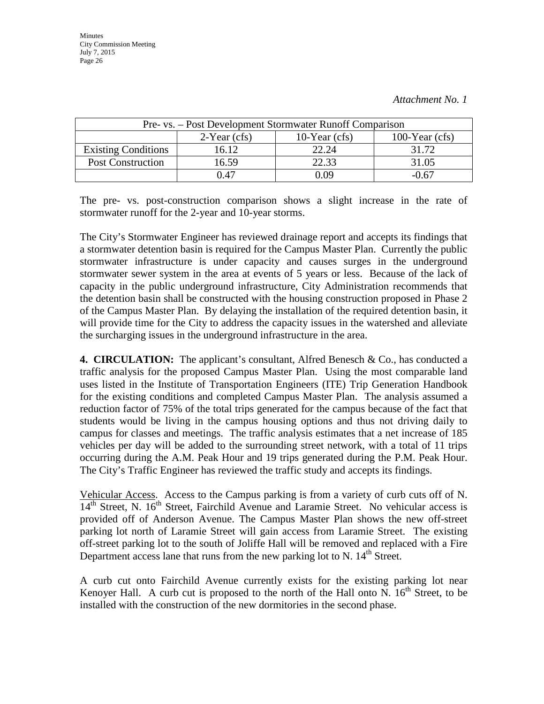| Pre- vs. – Post Development Stormwater Runoff Comparison |                 |                 |                  |  |
|----------------------------------------------------------|-----------------|-----------------|------------------|--|
|                                                          | $2$ -Year (cfs) | 10-Year $(cfs)$ | 100-Year $(cfs)$ |  |
| <b>Existing Conditions</b>                               | 16.12           | 22.24           | 31.72            |  |
| <b>Post Construction</b>                                 | 16.59           | 22.33           | 31.05            |  |
|                                                          | በ 47            | ገ በዓ            | $-0.67$          |  |

The pre- vs. post-construction comparison shows a slight increase in the rate of stormwater runoff for the 2-year and 10-year storms.

The City's Stormwater Engineer has reviewed drainage report and accepts its findings that a stormwater detention basin is required for the Campus Master Plan. Currently the public stormwater infrastructure is under capacity and causes surges in the underground stormwater sewer system in the area at events of 5 years or less. Because of the lack of capacity in the public underground infrastructure, City Administration recommends that the detention basin shall be constructed with the housing construction proposed in Phase 2 of the Campus Master Plan. By delaying the installation of the required detention basin, it will provide time for the City to address the capacity issues in the watershed and alleviate the surcharging issues in the underground infrastructure in the area.

**4. CIRCULATION:** The applicant's consultant, Alfred Benesch & Co., has conducted a traffic analysis for the proposed Campus Master Plan. Using the most comparable land uses listed in the Institute of Transportation Engineers (ITE) Trip Generation Handbook for the existing conditions and completed Campus Master Plan. The analysis assumed a reduction factor of 75% of the total trips generated for the campus because of the fact that students would be living in the campus housing options and thus not driving daily to campus for classes and meetings. The traffic analysis estimates that a net increase of 185 vehicles per day will be added to the surrounding street network, with a total of 11 trips occurring during the A.M. Peak Hour and 19 trips generated during the P.M. Peak Hour. The City's Traffic Engineer has reviewed the traffic study and accepts its findings.

Vehicular Access. Access to the Campus parking is from a variety of curb cuts off of N.  $14<sup>th</sup>$  Street, N. 16<sup>th</sup> Street, Fairchild Avenue and Laramie Street. No vehicular access is provided off of Anderson Avenue. The Campus Master Plan shows the new off-street parking lot north of Laramie Street will gain access from Laramie Street. The existing off-street parking lot to the south of Joliffe Hall will be removed and replaced with a Fire Department access lane that runs from the new parking lot to N.  $14<sup>th</sup>$  Street.

A curb cut onto Fairchild Avenue currently exists for the existing parking lot near Kenover Hall. A curb cut is proposed to the north of the Hall onto N.  $16<sup>th</sup>$  Street, to be installed with the construction of the new dormitories in the second phase.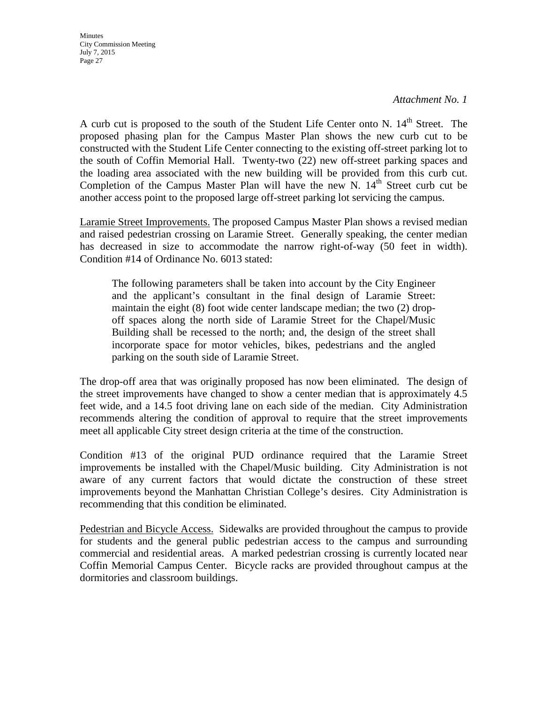*Attachment No. 1* 

A curb cut is proposed to the south of the Student Life Center onto N. 14<sup>th</sup> Street. The proposed phasing plan for the Campus Master Plan shows the new curb cut to be constructed with the Student Life Center connecting to the existing off-street parking lot to the south of Coffin Memorial Hall. Twenty-two (22) new off-street parking spaces and the loading area associated with the new building will be provided from this curb cut. Completion of the Campus Master Plan will have the new N.  $14<sup>th</sup>$  Street curb cut be another access point to the proposed large off-street parking lot servicing the campus.

Laramie Street Improvements. The proposed Campus Master Plan shows a revised median and raised pedestrian crossing on Laramie Street. Generally speaking, the center median has decreased in size to accommodate the narrow right-of-way (50 feet in width). Condition #14 of Ordinance No. 6013 stated:

The following parameters shall be taken into account by the City Engineer and the applicant's consultant in the final design of Laramie Street: maintain the eight (8) foot wide center landscape median; the two (2) dropoff spaces along the north side of Laramie Street for the Chapel/Music Building shall be recessed to the north; and, the design of the street shall incorporate space for motor vehicles, bikes, pedestrians and the angled parking on the south side of Laramie Street.

The drop-off area that was originally proposed has now been eliminated. The design of the street improvements have changed to show a center median that is approximately 4.5 feet wide, and a 14.5 foot driving lane on each side of the median. City Administration recommends altering the condition of approval to require that the street improvements meet all applicable City street design criteria at the time of the construction.

Condition #13 of the original PUD ordinance required that the Laramie Street improvements be installed with the Chapel/Music building. City Administration is not aware of any current factors that would dictate the construction of these street improvements beyond the Manhattan Christian College's desires. City Administration is recommending that this condition be eliminated.

Pedestrian and Bicycle Access. Sidewalks are provided throughout the campus to provide for students and the general public pedestrian access to the campus and surrounding commercial and residential areas. A marked pedestrian crossing is currently located near Coffin Memorial Campus Center. Bicycle racks are provided throughout campus at the dormitories and classroom buildings.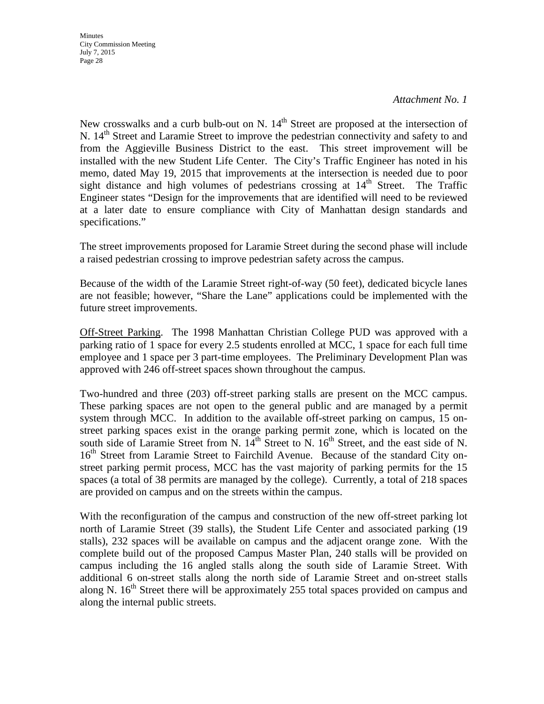#### *Attachment No. 1*

New crosswalks and a curb bulb-out on N.  $14<sup>th</sup>$  Street are proposed at the intersection of N. 14<sup>th</sup> Street and Laramie Street to improve the pedestrian connectivity and safety to and from the Aggieville Business District to the east. This street improvement will be installed with the new Student Life Center. The City's Traffic Engineer has noted in his memo, dated May 19, 2015 that improvements at the intersection is needed due to poor sight distance and high volumes of pedestrians crossing at  $14<sup>th</sup>$  Street. The Traffic Engineer states "Design for the improvements that are identified will need to be reviewed at a later date to ensure compliance with City of Manhattan design standards and specifications."

The street improvements proposed for Laramie Street during the second phase will include a raised pedestrian crossing to improve pedestrian safety across the campus.

Because of the width of the Laramie Street right-of-way (50 feet), dedicated bicycle lanes are not feasible; however, "Share the Lane" applications could be implemented with the future street improvements.

Off-Street Parking. The 1998 Manhattan Christian College PUD was approved with a parking ratio of 1 space for every 2.5 students enrolled at MCC, 1 space for each full time employee and 1 space per 3 part-time employees. The Preliminary Development Plan was approved with 246 off-street spaces shown throughout the campus.

Two-hundred and three (203) off-street parking stalls are present on the MCC campus. These parking spaces are not open to the general public and are managed by a permit system through MCC. In addition to the available off-street parking on campus, 15 onstreet parking spaces exist in the orange parking permit zone, which is located on the south side of Laramie Street from N.  $14^{th}$  Street to N.  $16^{th}$  Street, and the east side of N. 16<sup>th</sup> Street from Laramie Street to Fairchild Avenue. Because of the standard City onstreet parking permit process, MCC has the vast majority of parking permits for the 15 spaces (a total of 38 permits are managed by the college). Currently, a total of 218 spaces are provided on campus and on the streets within the campus.

With the reconfiguration of the campus and construction of the new off-street parking lot north of Laramie Street (39 stalls), the Student Life Center and associated parking (19 stalls), 232 spaces will be available on campus and the adjacent orange zone. With the complete build out of the proposed Campus Master Plan, 240 stalls will be provided on campus including the 16 angled stalls along the south side of Laramie Street. With additional 6 on-street stalls along the north side of Laramie Street and on-street stalls along N.  $16<sup>th</sup>$  Street there will be approximately 255 total spaces provided on campus and along the internal public streets.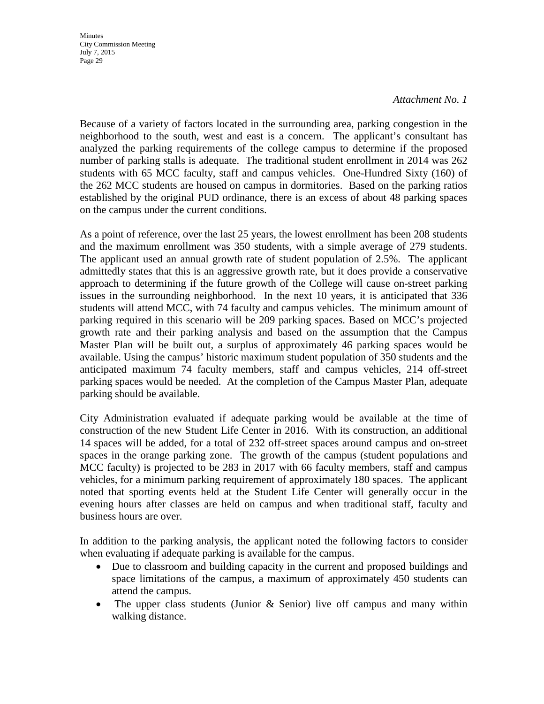#### *Attachment No. 1*

Because of a variety of factors located in the surrounding area, parking congestion in the neighborhood to the south, west and east is a concern. The applicant's consultant has analyzed the parking requirements of the college campus to determine if the proposed number of parking stalls is adequate. The traditional student enrollment in 2014 was 262 students with 65 MCC faculty, staff and campus vehicles. One-Hundred Sixty (160) of the 262 MCC students are housed on campus in dormitories. Based on the parking ratios established by the original PUD ordinance, there is an excess of about 48 parking spaces on the campus under the current conditions.

As a point of reference, over the last 25 years, the lowest enrollment has been 208 students and the maximum enrollment was 350 students, with a simple average of 279 students. The applicant used an annual growth rate of student population of 2.5%. The applicant admittedly states that this is an aggressive growth rate, but it does provide a conservative approach to determining if the future growth of the College will cause on-street parking issues in the surrounding neighborhood. In the next 10 years, it is anticipated that 336 students will attend MCC, with 74 faculty and campus vehicles. The minimum amount of parking required in this scenario will be 209 parking spaces. Based on MCC's projected growth rate and their parking analysis and based on the assumption that the Campus Master Plan will be built out, a surplus of approximately 46 parking spaces would be available. Using the campus' historic maximum student population of 350 students and the anticipated maximum 74 faculty members, staff and campus vehicles, 214 off-street parking spaces would be needed. At the completion of the Campus Master Plan, adequate parking should be available.

City Administration evaluated if adequate parking would be available at the time of construction of the new Student Life Center in 2016. With its construction, an additional 14 spaces will be added, for a total of 232 off-street spaces around campus and on-street spaces in the orange parking zone. The growth of the campus (student populations and MCC faculty) is projected to be 283 in 2017 with 66 faculty members, staff and campus vehicles, for a minimum parking requirement of approximately 180 spaces. The applicant noted that sporting events held at the Student Life Center will generally occur in the evening hours after classes are held on campus and when traditional staff, faculty and business hours are over.

In addition to the parking analysis, the applicant noted the following factors to consider when evaluating if adequate parking is available for the campus.

- Due to classroom and building capacity in the current and proposed buildings and space limitations of the campus, a maximum of approximately 450 students can attend the campus.
- The upper class students (Junior  $\&$  Senior) live off campus and many within walking distance.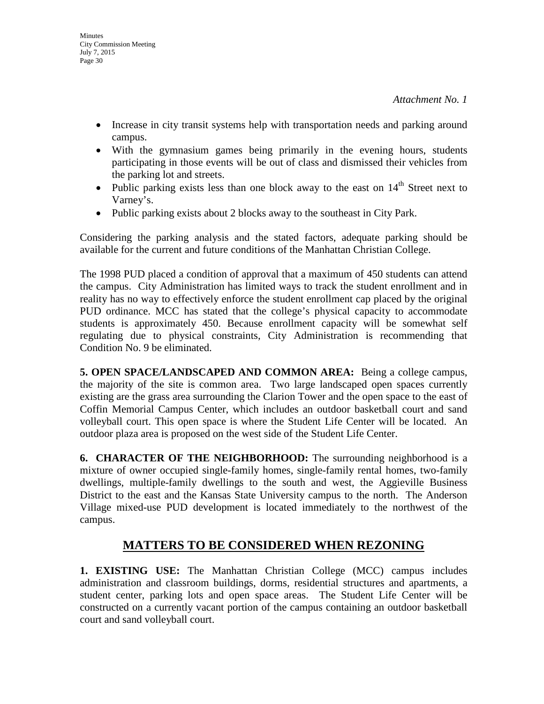- Increase in city transit systems help with transportation needs and parking around campus.
- With the gymnasium games being primarily in the evening hours, students participating in those events will be out of class and dismissed their vehicles from the parking lot and streets.
- Public parking exists less than one block away to the east on  $14<sup>th</sup>$  Street next to Varney's.
- Public parking exists about 2 blocks away to the southeast in City Park.

Considering the parking analysis and the stated factors, adequate parking should be available for the current and future conditions of the Manhattan Christian College.

The 1998 PUD placed a condition of approval that a maximum of 450 students can attend the campus. City Administration has limited ways to track the student enrollment and in reality has no way to effectively enforce the student enrollment cap placed by the original PUD ordinance. MCC has stated that the college's physical capacity to accommodate students is approximately 450. Because enrollment capacity will be somewhat self regulating due to physical constraints, City Administration is recommending that Condition No. 9 be eliminated.

**5. OPEN SPACE/LANDSCAPED AND COMMON AREA:** Being a college campus, the majority of the site is common area. Two large landscaped open spaces currently existing are the grass area surrounding the Clarion Tower and the open space to the east of Coffin Memorial Campus Center, which includes an outdoor basketball court and sand volleyball court. This open space is where the Student Life Center will be located. An outdoor plaza area is proposed on the west side of the Student Life Center.

**6. CHARACTER OF THE NEIGHBORHOOD:** The surrounding neighborhood is a mixture of owner occupied single-family homes, single-family rental homes, two-family dwellings, multiple-family dwellings to the south and west, the Aggieville Business District to the east and the Kansas State University campus to the north. The Anderson Village mixed-use PUD development is located immediately to the northwest of the campus.

# **MATTERS TO BE CONSIDERED WHEN REZONING**

**1. EXISTING USE:** The Manhattan Christian College (MCC) campus includes administration and classroom buildings, dorms, residential structures and apartments, a student center, parking lots and open space areas. The Student Life Center will be constructed on a currently vacant portion of the campus containing an outdoor basketball court and sand volleyball court.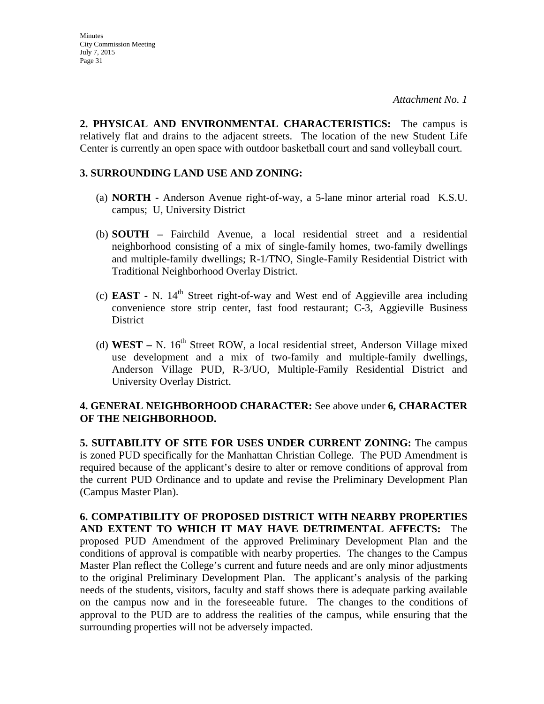**2. PHYSICAL AND ENVIRONMENTAL CHARACTERISTICS:** The campus is relatively flat and drains to the adjacent streets. The location of the new Student Life Center is currently an open space with outdoor basketball court and sand volleyball court.

### **3. SURROUNDING LAND USE AND ZONING:**

- (a) **NORTH -** Anderson Avenue right-of-way, a 5-lane minor arterial road K.S.U. campus; U, University District
- (b) **SOUTH** Fairchild Avenue, a local residential street and a residential neighborhood consisting of a mix of single-family homes, two-family dwellings and multiple-family dwellings; R-1/TNO, Single-Family Residential District with Traditional Neighborhood Overlay District.
- (c) **EAST -** N. 14th Street right-of-way and West end of Aggieville area including convenience store strip center, fast food restaurant; C-3, Aggieville Business District
- (d) **WEST** N. 16<sup>th</sup> Street ROW, a local residential street, Anderson Village mixed use development and a mix of two-family and multiple-family dwellings, Anderson Village PUD, R-3/UO, Multiple-Family Residential District and University Overlay District.

## **4. GENERAL NEIGHBORHOOD CHARACTER:** See above under **6, CHARACTER OF THE NEIGHBORHOOD.**

**5. SUITABILITY OF SITE FOR USES UNDER CURRENT ZONING:** The campus is zoned PUD specifically for the Manhattan Christian College. The PUD Amendment is required because of the applicant's desire to alter or remove conditions of approval from the current PUD Ordinance and to update and revise the Preliminary Development Plan (Campus Master Plan).

**6. COMPATIBILITY OF PROPOSED DISTRICT WITH NEARBY PROPERTIES AND EXTENT TO WHICH IT MAY HAVE DETRIMENTAL AFFECTS:** The proposed PUD Amendment of the approved Preliminary Development Plan and the conditions of approval is compatible with nearby properties. The changes to the Campus Master Plan reflect the College's current and future needs and are only minor adjustments to the original Preliminary Development Plan. The applicant's analysis of the parking needs of the students, visitors, faculty and staff shows there is adequate parking available on the campus now and in the foreseeable future. The changes to the conditions of approval to the PUD are to address the realities of the campus, while ensuring that the surrounding properties will not be adversely impacted.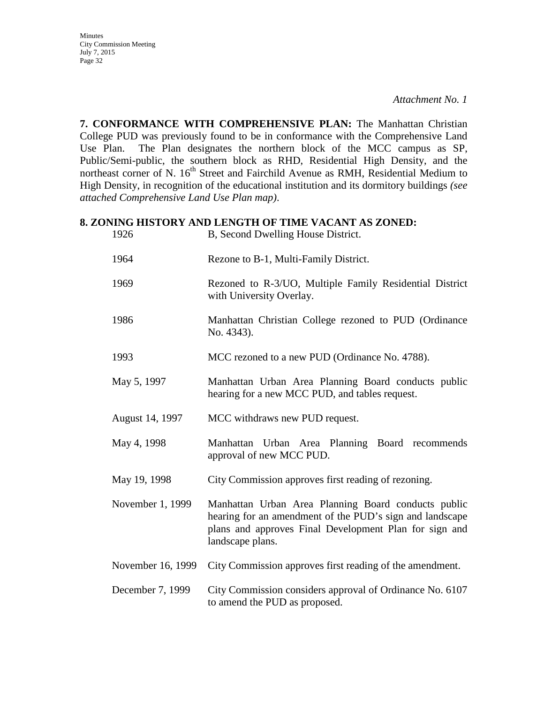**7. CONFORMANCE WITH COMPREHENSIVE PLAN:** The Manhattan Christian College PUD was previously found to be in conformance with the Comprehensive Land Use Plan. The Plan designates the northern block of the MCC campus as SP, Public/Semi-public, the southern block as RHD, Residential High Density, and the northeast corner of N. 16<sup>th</sup> Street and Fairchild Avenue as RMH, Residential Medium to High Density, in recognition of the educational institution and its dormitory buildings *(see attached Comprehensive Land Use Plan map)*.

#### **8. ZONING HISTORY AND LENGTH OF TIME VACANT AS ZONED:**

| 1926              | B, Second Dwelling House District.                                                                                                                                                            |
|-------------------|-----------------------------------------------------------------------------------------------------------------------------------------------------------------------------------------------|
| 1964              | Rezone to B-1, Multi-Family District.                                                                                                                                                         |
| 1969              | Rezoned to R-3/UO, Multiple Family Residential District<br>with University Overlay.                                                                                                           |
| 1986              | Manhattan Christian College rezoned to PUD (Ordinance<br>No. 4343).                                                                                                                           |
| 1993              | MCC rezoned to a new PUD (Ordinance No. 4788).                                                                                                                                                |
| May 5, 1997       | Manhattan Urban Area Planning Board conducts public<br>hearing for a new MCC PUD, and tables request.                                                                                         |
| August 14, 1997   | MCC withdraws new PUD request.                                                                                                                                                                |
| May 4, 1998       | Manhattan Urban Area Planning Board recommends<br>approval of new MCC PUD.                                                                                                                    |
| May 19, 1998      | City Commission approves first reading of rezoning.                                                                                                                                           |
| November 1, 1999  | Manhattan Urban Area Planning Board conducts public<br>hearing for an amendment of the PUD's sign and landscape<br>plans and approves Final Development Plan for sign and<br>landscape plans. |
| November 16, 1999 | City Commission approves first reading of the amendment.                                                                                                                                      |
| December 7, 1999  | City Commission considers approval of Ordinance No. 6107<br>to amend the PUD as proposed.                                                                                                     |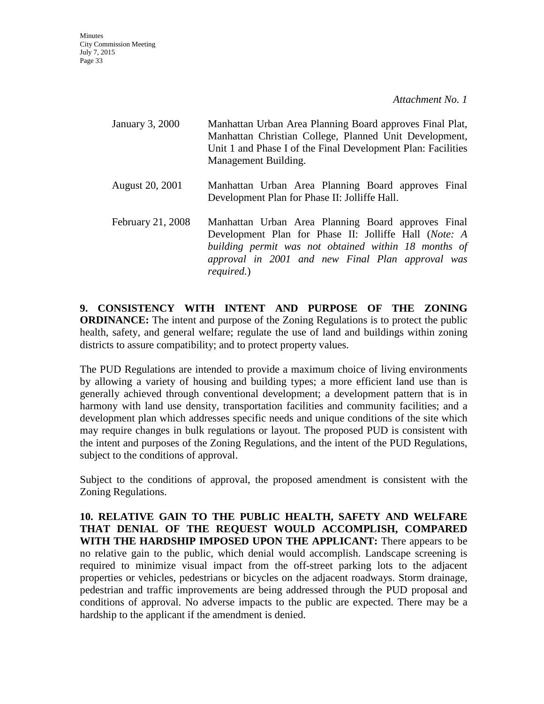| January 3, 2000   | Manhattan Urban Area Planning Board approves Final Plat,<br>Manhattan Christian College, Planned Unit Development,<br>Unit 1 and Phase I of the Final Development Plan: Facilities<br>Management Building.                                    |  |
|-------------------|-----------------------------------------------------------------------------------------------------------------------------------------------------------------------------------------------------------------------------------------------|--|
| August 20, 2001   | Manhattan Urban Area Planning Board approves Final<br>Development Plan for Phase II: Jolliffe Hall.                                                                                                                                           |  |
| February 21, 2008 | Manhattan Urban Area Planning Board approves Final<br>Development Plan for Phase II: Jolliffe Hall (Note: A<br>building permit was not obtained within 18 months of<br>approval in 2001 and new Final Plan approval was<br><i>required.</i> ) |  |

**9. CONSISTENCY WITH INTENT AND PURPOSE OF THE ZONING ORDINANCE:** The intent and purpose of the Zoning Regulations is to protect the public health, safety, and general welfare; regulate the use of land and buildings within zoning districts to assure compatibility; and to protect property values.

The PUD Regulations are intended to provide a maximum choice of living environments by allowing a variety of housing and building types; a more efficient land use than is generally achieved through conventional development; a development pattern that is in harmony with land use density, transportation facilities and community facilities; and a development plan which addresses specific needs and unique conditions of the site which may require changes in bulk regulations or layout. The proposed PUD is consistent with the intent and purposes of the Zoning Regulations, and the intent of the PUD Regulations, subject to the conditions of approval.

Subject to the conditions of approval, the proposed amendment is consistent with the Zoning Regulations.

**10. RELATIVE GAIN TO THE PUBLIC HEALTH, SAFETY AND WELFARE THAT DENIAL OF THE REQUEST WOULD ACCOMPLISH, COMPARED WITH THE HARDSHIP IMPOSED UPON THE APPLICANT:** There appears to be no relative gain to the public, which denial would accomplish. Landscape screening is required to minimize visual impact from the off-street parking lots to the adjacent properties or vehicles, pedestrians or bicycles on the adjacent roadways. Storm drainage, pedestrian and traffic improvements are being addressed through the PUD proposal and conditions of approval. No adverse impacts to the public are expected. There may be a hardship to the applicant if the amendment is denied.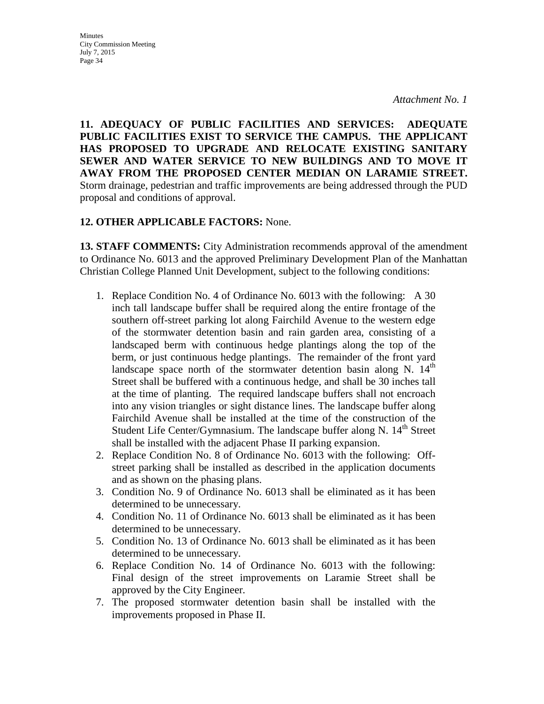**11. ADEQUACY OF PUBLIC FACILITIES AND SERVICES: ADEQUATE PUBLIC FACILITIES EXIST TO SERVICE THE CAMPUS. THE APPLICANT HAS PROPOSED TO UPGRADE AND RELOCATE EXISTING SANITARY SEWER AND WATER SERVICE TO NEW BUILDINGS AND TO MOVE IT AWAY FROM THE PROPOSED CENTER MEDIAN ON LARAMIE STREET.** Storm drainage, pedestrian and traffic improvements are being addressed through the PUD proposal and conditions of approval.

#### **12. OTHER APPLICABLE FACTORS:** None.

**13. STAFF COMMENTS:** City Administration recommends approval of the amendment to Ordinance No. 6013 and the approved Preliminary Development Plan of the Manhattan Christian College Planned Unit Development, subject to the following conditions:

- 1. Replace Condition No. 4 of Ordinance No. 6013 with the following: A 30 inch tall landscape buffer shall be required along the entire frontage of the southern off-street parking lot along Fairchild Avenue to the western edge of the stormwater detention basin and rain garden area, consisting of a landscaped berm with continuous hedge plantings along the top of the berm, or just continuous hedge plantings. The remainder of the front yard landscape space north of the stormwater detention basin along N.  $14<sup>th</sup>$ Street shall be buffered with a continuous hedge, and shall be 30 inches tall at the time of planting. The required landscape buffers shall not encroach into any vision triangles or sight distance lines. The landscape buffer along Fairchild Avenue shall be installed at the time of the construction of the Student Life Center/Gymnasium. The landscape buffer along N. 14<sup>th</sup> Street shall be installed with the adjacent Phase II parking expansion.
- 2. Replace Condition No. 8 of Ordinance No. 6013 with the following: Offstreet parking shall be installed as described in the application documents and as shown on the phasing plans.
- 3. Condition No. 9 of Ordinance No. 6013 shall be eliminated as it has been determined to be unnecessary.
- 4. Condition No. 11 of Ordinance No. 6013 shall be eliminated as it has been determined to be unnecessary.
- 5. Condition No. 13 of Ordinance No. 6013 shall be eliminated as it has been determined to be unnecessary.
- 6. Replace Condition No. 14 of Ordinance No. 6013 with the following: Final design of the street improvements on Laramie Street shall be approved by the City Engineer.
- 7. The proposed stormwater detention basin shall be installed with the improvements proposed in Phase II.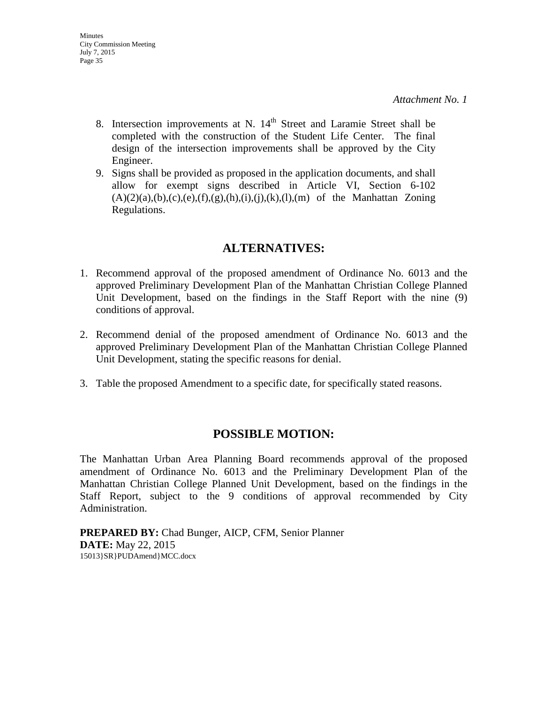- 8. Intersection improvements at N.  $14<sup>th</sup>$  Street and Laramie Street shall be completed with the construction of the Student Life Center. The final design of the intersection improvements shall be approved by the City Engineer.
- 9. Signs shall be provided as proposed in the application documents, and shall allow for exempt signs described in Article VI, Section 6-102  $(A)(2)(a),(b),(c),(e),(f),(g),(h),(i),(j),(k),(l),(m)$  of the Manhattan Zoning Regulations.

# **ALTERNATIVES:**

- 1. Recommend approval of the proposed amendment of Ordinance No. 6013 and the approved Preliminary Development Plan of the Manhattan Christian College Planned Unit Development, based on the findings in the Staff Report with the nine (9) conditions of approval.
- 2. Recommend denial of the proposed amendment of Ordinance No. 6013 and the approved Preliminary Development Plan of the Manhattan Christian College Planned Unit Development, stating the specific reasons for denial.
- 3. Table the proposed Amendment to a specific date, for specifically stated reasons.

# **POSSIBLE MOTION:**

The Manhattan Urban Area Planning Board recommends approval of the proposed amendment of Ordinance No. 6013 and the Preliminary Development Plan of the Manhattan Christian College Planned Unit Development, based on the findings in the Staff Report, subject to the 9 conditions of approval recommended by City Administration.

**PREPARED BY:** Chad Bunger, AICP, CFM, Senior Planner **DATE:** May 22, 2015 15013}SR}PUDAmend}MCC.docx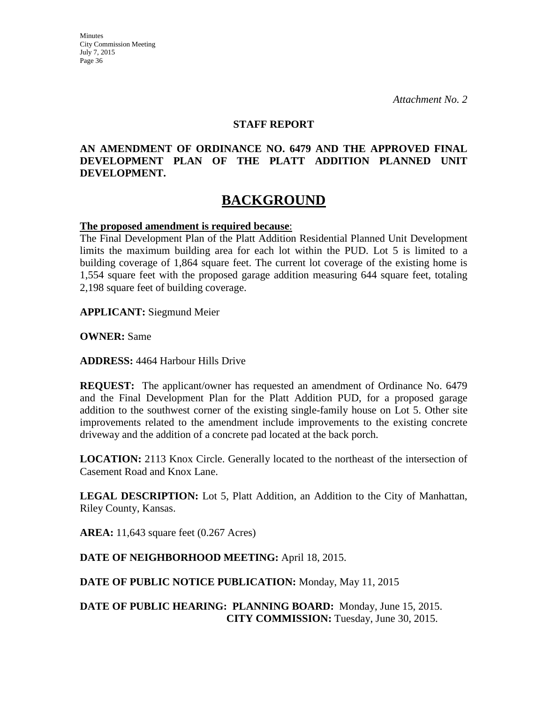#### **STAFF REPORT**

### **AN AMENDMENT OF ORDINANCE NO. 6479 AND THE APPROVED FINAL DEVELOPMENT PLAN OF THE PLATT ADDITION PLANNED UNIT DEVELOPMENT.**

# **BACKGROUND**

#### **The proposed amendment is required because**:

The Final Development Plan of the Platt Addition Residential Planned Unit Development limits the maximum building area for each lot within the PUD. Lot 5 is limited to a building coverage of 1,864 square feet. The current lot coverage of the existing home is 1,554 square feet with the proposed garage addition measuring 644 square feet, totaling 2,198 square feet of building coverage.

**APPLICANT:** Siegmund Meier

**OWNER:** Same

**ADDRESS:** 4464 Harbour Hills Drive

**REQUEST:** The applicant/owner has requested an amendment of Ordinance No. 6479 and the Final Development Plan for the Platt Addition PUD, for a proposed garage addition to the southwest corner of the existing single-family house on Lot 5. Other site improvements related to the amendment include improvements to the existing concrete driveway and the addition of a concrete pad located at the back porch.

**LOCATION:** 2113 Knox Circle. Generally located to the northeast of the intersection of Casement Road and Knox Lane.

**LEGAL DESCRIPTION:** Lot 5, Platt Addition, an Addition to the City of Manhattan, Riley County, Kansas.

**AREA:** 11,643 square feet (0.267 Acres)

**DATE OF NEIGHBORHOOD MEETING:** April 18, 2015.

**DATE OF PUBLIC NOTICE PUBLICATION:** Monday, May 11, 2015

**DATE OF PUBLIC HEARING: PLANNING BOARD:** Monday, June 15, 2015. **CITY COMMISSION:** Tuesday, June 30, 2015.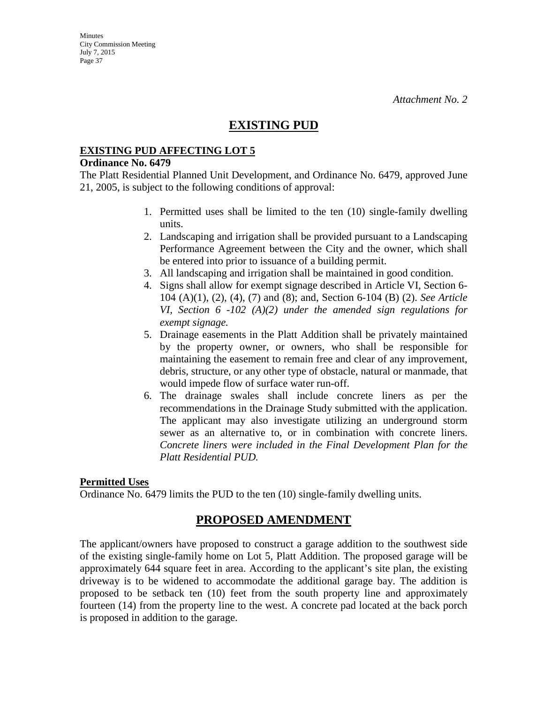## **EXISTING PUD**

#### **EXISTING PUD AFFECTING LOT 5**

#### **Ordinance No. 6479**

The Platt Residential Planned Unit Development, and Ordinance No. 6479, approved June 21, 2005, is subject to the following conditions of approval:

- 1. Permitted uses shall be limited to the ten (10) single-family dwelling units.
- 2. Landscaping and irrigation shall be provided pursuant to a Landscaping Performance Agreement between the City and the owner, which shall be entered into prior to issuance of a building permit.
- 3. All landscaping and irrigation shall be maintained in good condition.
- 4. Signs shall allow for exempt signage described in Article VI, Section 6- 104 (A)(1), (2), (4), (7) and (8); and, Section 6-104 (B) (2). *See Article VI, Section 6 -102 (A)(2) under the amended sign regulations for exempt signage.*
- 5. Drainage easements in the Platt Addition shall be privately maintained by the property owner, or owners, who shall be responsible for maintaining the easement to remain free and clear of any improvement, debris, structure, or any other type of obstacle, natural or manmade, that would impede flow of surface water run-off.
- 6. The drainage swales shall include concrete liners as per the recommendations in the Drainage Study submitted with the application. The applicant may also investigate utilizing an underground storm sewer as an alternative to, or in combination with concrete liners. *Concrete liners were included in the Final Development Plan for the Platt Residential PUD.*

#### **Permitted Uses**

Ordinance No. 6479 limits the PUD to the ten (10) single-family dwelling units.

# **PROPOSED AMENDMENT**

The applicant/owners have proposed to construct a garage addition to the southwest side of the existing single-family home on Lot 5, Platt Addition. The proposed garage will be approximately 644 square feet in area. According to the applicant's site plan, the existing driveway is to be widened to accommodate the additional garage bay. The addition is proposed to be setback ten (10) feet from the south property line and approximately fourteen (14) from the property line to the west. A concrete pad located at the back porch is proposed in addition to the garage.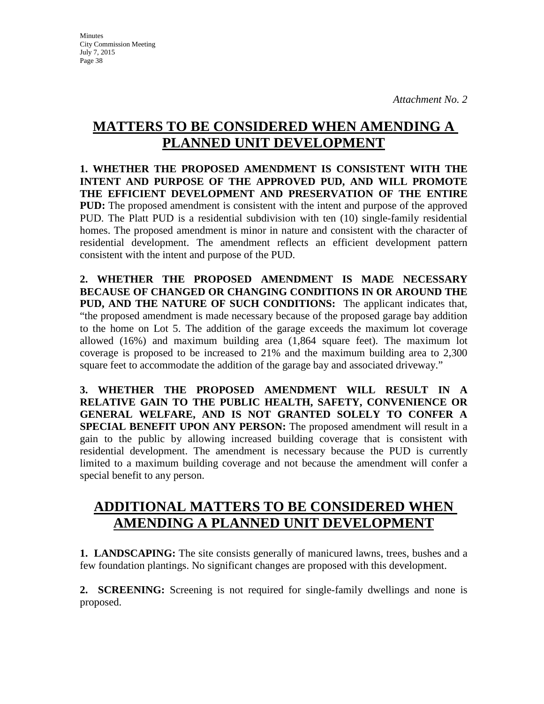**Minutes** City Commission Meeting July 7, 2015 Page 38

# **MATTERS TO BE CONSIDERED WHEN AMENDING A PLANNED UNIT DEVELOPMENT**

**1. WHETHER THE PROPOSED AMENDMENT IS CONSISTENT WITH THE INTENT AND PURPOSE OF THE APPROVED PUD, AND WILL PROMOTE THE EFFICIENT DEVELOPMENT AND PRESERVATION OF THE ENTIRE PUD:** The proposed amendment is consistent with the intent and purpose of the approved PUD. The Platt PUD is a residential subdivision with ten (10) single-family residential homes. The proposed amendment is minor in nature and consistent with the character of residential development. The amendment reflects an efficient development pattern consistent with the intent and purpose of the PUD.

**2. WHETHER THE PROPOSED AMENDMENT IS MADE NECESSARY BECAUSE OF CHANGED OR CHANGING CONDITIONS IN OR AROUND THE PUD, AND THE NATURE OF SUCH CONDITIONS:** The applicant indicates that, "the proposed amendment is made necessary because of the proposed garage bay addition to the home on Lot 5. The addition of the garage exceeds the maximum lot coverage allowed (16%) and maximum building area (1,864 square feet). The maximum lot coverage is proposed to be increased to 21% and the maximum building area to 2,300 square feet to accommodate the addition of the garage bay and associated driveway."

**3. WHETHER THE PROPOSED AMENDMENT WILL RESULT IN A RELATIVE GAIN TO THE PUBLIC HEALTH, SAFETY, CONVENIENCE OR GENERAL WELFARE, AND IS NOT GRANTED SOLELY TO CONFER A SPECIAL BENEFIT UPON ANY PERSON:** The proposed amendment will result in a gain to the public by allowing increased building coverage that is consistent with residential development. The amendment is necessary because the PUD is currently limited to a maximum building coverage and not because the amendment will confer a special benefit to any person.

# **ADDITIONAL MATTERS TO BE CONSIDERED WHEN AMENDING A PLANNED UNIT DEVELOPMENT**

**1. LANDSCAPING:** The site consists generally of manicured lawns, trees, bushes and a few foundation plantings. No significant changes are proposed with this development.

**2. SCREENING:** Screening is not required for single-family dwellings and none is proposed.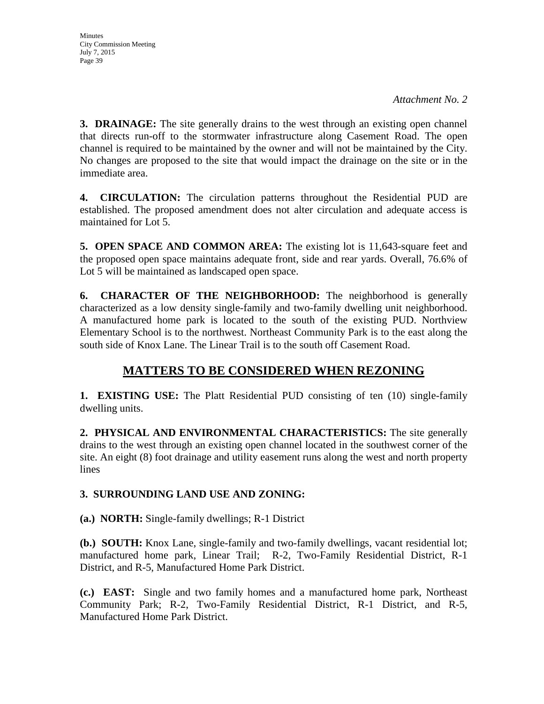**3. DRAINAGE:** The site generally drains to the west through an existing open channel that directs run-off to the stormwater infrastructure along Casement Road. The open channel is required to be maintained by the owner and will not be maintained by the City. No changes are proposed to the site that would impact the drainage on the site or in the immediate area.

**4. CIRCULATION:** The circulation patterns throughout the Residential PUD are established. The proposed amendment does not alter circulation and adequate access is maintained for Lot 5.

**5. OPEN SPACE AND COMMON AREA:** The existing lot is 11,643-square feet and the proposed open space maintains adequate front, side and rear yards. Overall, 76.6% of Lot 5 will be maintained as landscaped open space.

**6. CHARACTER OF THE NEIGHBORHOOD:** The neighborhood is generally characterized as a low density single-family and two-family dwelling unit neighborhood. A manufactured home park is located to the south of the existing PUD. Northview Elementary School is to the northwest. Northeast Community Park is to the east along the south side of Knox Lane. The Linear Trail is to the south off Casement Road.

# **MATTERS TO BE CONSIDERED WHEN REZONING**

**1. EXISTING USE:** The Platt Residential PUD consisting of ten (10) single-family dwelling units.

**2. PHYSICAL AND ENVIRONMENTAL CHARACTERISTICS:** The site generally drains to the west through an existing open channel located in the southwest corner of the site. An eight (8) foot drainage and utility easement runs along the west and north property lines

## **3. SURROUNDING LAND USE AND ZONING:**

**(a.) NORTH:** Single-family dwellings; R-1 District

**(b.) SOUTH:** Knox Lane, single-family and two-family dwellings, vacant residential lot; manufactured home park, Linear Trail;R-2, Two-Family Residential District, R-1 District, and R-5, Manufactured Home Park District.

**(c.) EAST:** Single and two family homes and a manufactured home park, Northeast Community Park; R-2, Two-Family Residential District, R-1 District, and R-5, Manufactured Home Park District.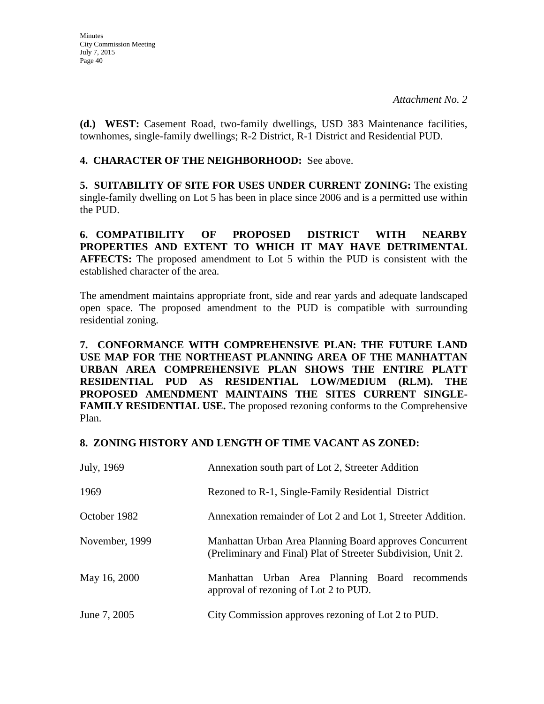**(d.) WEST:** Casement Road, two-family dwellings, USD 383 Maintenance facilities, townhomes, single-family dwellings; R-2 District, R-1 District and Residential PUD.

**4. CHARACTER OF THE NEIGHBORHOOD:** See above.

**5. SUITABILITY OF SITE FOR USES UNDER CURRENT ZONING:** The existing single-family dwelling on Lot 5 has been in place since 2006 and is a permitted use within the PUD.

**6. COMPATIBILITY OF PROPOSED DISTRICT WITH NEARBY PROPERTIES AND EXTENT TO WHICH IT MAY HAVE DETRIMENTAL AFFECTS:** The proposed amendment to Lot 5 within the PUD is consistent with the established character of the area.

The amendment maintains appropriate front, side and rear yards and adequate landscaped open space. The proposed amendment to the PUD is compatible with surrounding residential zoning.

## **7. CONFORMANCE WITH COMPREHENSIVE PLAN: THE FUTURE LAND USE MAP FOR THE NORTHEAST PLANNING AREA OF THE MANHATTAN URBAN AREA COMPREHENSIVE PLAN SHOWS THE ENTIRE PLATT RESIDENTIAL PUD AS RESIDENTIAL LOW/MEDIUM (RLM). THE PROPOSED AMENDMENT MAINTAINS THE SITES CURRENT SINGLE-FAMILY RESIDENTIAL USE.** The proposed rezoning conforms to the Comprehensive Plan.

## **8. ZONING HISTORY AND LENGTH OF TIME VACANT AS ZONED:**

| July, 1969     | Annexation south part of Lot 2, Streeter Addition                                                                        |
|----------------|--------------------------------------------------------------------------------------------------------------------------|
| 1969           | Rezoned to R-1, Single-Family Residential District                                                                       |
| October 1982   | Annexation remainder of Lot 2 and Lot 1, Streeter Addition.                                                              |
| November, 1999 | Manhattan Urban Area Planning Board approves Concurrent<br>(Preliminary and Final) Plat of Streeter Subdivision, Unit 2. |
| May 16, 2000   | Manhattan Urban Area Planning Board recommends<br>approval of rezoning of Lot 2 to PUD.                                  |
| June 7, 2005   | City Commission approves rezoning of Lot 2 to PUD.                                                                       |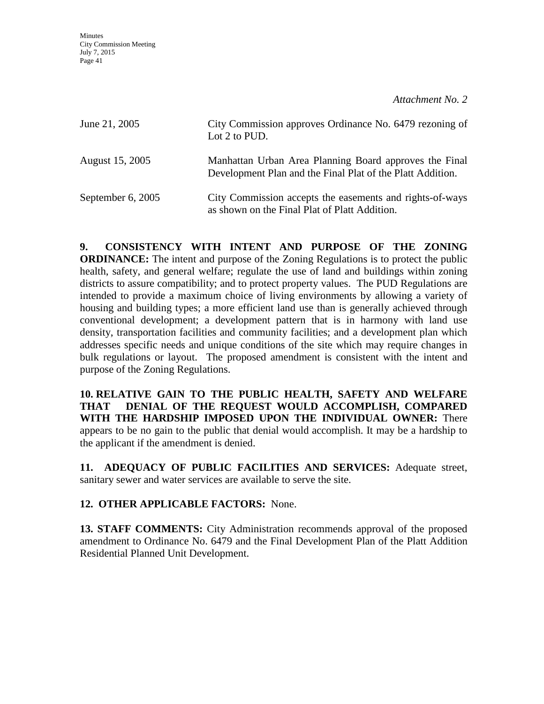| June 21, 2005     | City Commission approves Ordinance No. 6479 rezoning of<br>Lot 2 to PUD.                                             |
|-------------------|----------------------------------------------------------------------------------------------------------------------|
| August 15, 2005   | Manhattan Urban Area Planning Board approves the Final<br>Development Plan and the Final Plat of the Platt Addition. |
| September 6, 2005 | City Commission accepts the easements and rights-of-ways<br>as shown on the Final Plat of Platt Addition.            |

**9. CONSISTENCY WITH INTENT AND PURPOSE OF THE ZONING ORDINANCE:** The intent and purpose of the Zoning Regulations is to protect the public health, safety, and general welfare; regulate the use of land and buildings within zoning districts to assure compatibility; and to protect property values. The PUD Regulations are intended to provide a maximum choice of living environments by allowing a variety of housing and building types; a more efficient land use than is generally achieved through conventional development; a development pattern that is in harmony with land use density, transportation facilities and community facilities; and a development plan which addresses specific needs and unique conditions of the site which may require changes in bulk regulations or layout. The proposed amendment is consistent with the intent and purpose of the Zoning Regulations.

**10. RELATIVE GAIN TO THE PUBLIC HEALTH, SAFETY AND WELFARE THAT DENIAL OF THE REQUEST WOULD ACCOMPLISH, COMPARED WITH THE HARDSHIP IMPOSED UPON THE INDIVIDUAL OWNER:** There appears to be no gain to the public that denial would accomplish. It may be a hardship to the applicant if the amendment is denied.

**11. ADEQUACY OF PUBLIC FACILITIES AND SERVICES:** Adequate street, sanitary sewer and water services are available to serve the site.

**12. OTHER APPLICABLE FACTORS:** None.

**13. STAFF COMMENTS:** City Administration recommends approval of the proposed amendment to Ordinance No. 6479 and the Final Development Plan of the Platt Addition Residential Planned Unit Development.